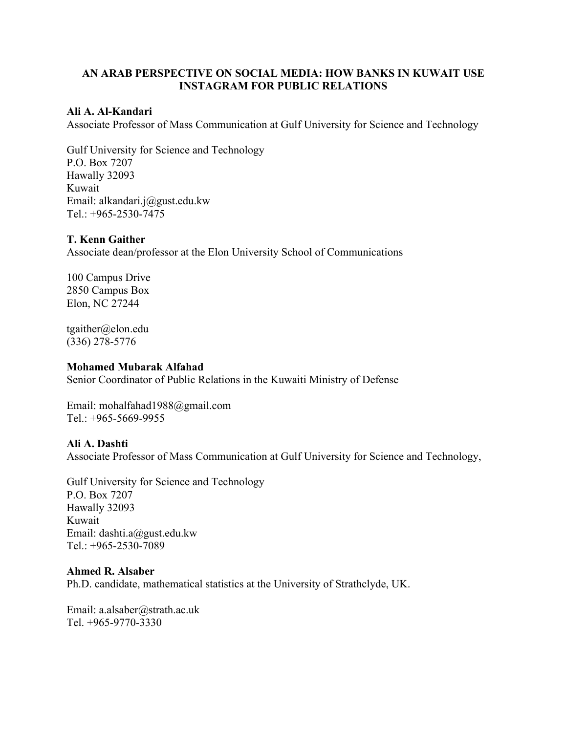# **AN ARAB PERSPECTIVE ON SOCIAL MEDIA: HOW BANKS IN KUWAIT USE INSTAGRAM FOR PUBLIC RELATIONS**

### **Ali A. Al-Kandari**

Associate Professor of Mass Communication at Gulf University for Science and Technology

Gulf University for Science and Technology P.O. Box 7207 Hawally 32093 Kuwait Email: [alkandari.j@gust.edu.kw](mailto:alkandari.j@gust.edu.kw) Tel.: +965-2530-7475

### **T. Kenn Gaither**

Associate dean/professor at the Elon University School of Communications

100 Campus Drive 2850 Campus Box Elon, NC 27244

tgaither@elon.edu (336) 278-5776

#### **Mohamed Mubarak Alfahad**

Senior Coordinator of Public Relations in the Kuwaiti Ministry of Defense

Email: [mohalfahad1988@gmail.com](mailto:mohalfahad1988@gmail.com) Tel.: +965-5669-9955

### **Ali A. Dashti**

Associate Professor of Mass Communication at Gulf University for Science and Technology,

Gulf University for Science and Technology P.O. Box 7207 Hawally 32093 Kuwait Email: dashti.[a@gust.edu.kw](mailto:a@gust.edu.kw) Tel.: +965-2530-7089

### **Ahmed R. Alsaber**

Ph.D. candidate, mathematical statistics at the University of Strathclyde, UK.

Email: [a.alsaber@strath.ac.uk](mailto:a.alsaber@strath.ac.uk) Tel. +965-9770-3330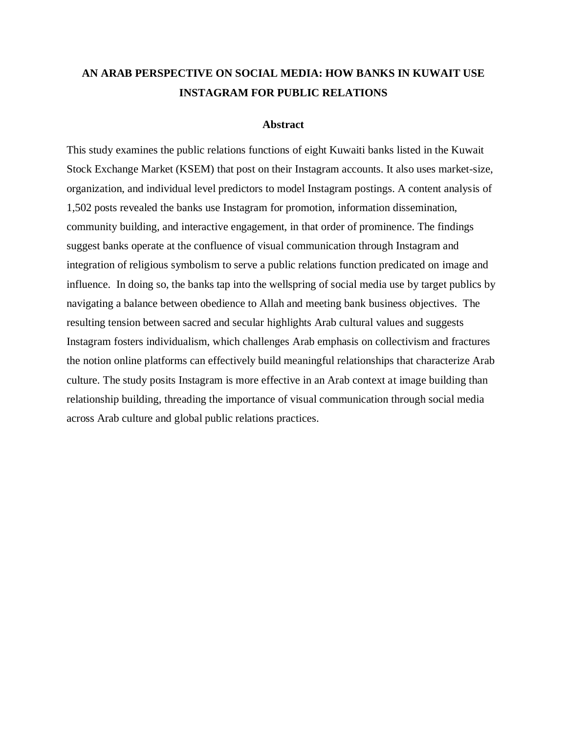# **AN ARAB PERSPECTIVE ON SOCIAL MEDIA: HOW BANKS IN KUWAIT USE INSTAGRAM FOR PUBLIC RELATIONS**

#### **Abstract**

This study examines the public relations functions of eight Kuwaiti banks listed in the Kuwait Stock Exchange Market (KSEM) that post on their Instagram accounts. It also uses market-size, organization, and individual level predictors to model Instagram postings. A content analysis of 1,502 posts revealed the banks use Instagram for promotion, information dissemination, community building, and interactive engagement, in that order of prominence. The findings suggest banks operate at the confluence of visual communication through Instagram and integration of religious symbolism to serve a public relations function predicated on image and influence. In doing so, the banks tap into the wellspring of social media use by target publics by navigating a balance between obedience to Allah and meeting bank business objectives. The resulting tension between sacred and secular highlights Arab cultural values and suggests Instagram fosters individualism, which challenges Arab emphasis on collectivism and fractures the notion online platforms can effectively build meaningful relationships that characterize Arab culture. The study posits Instagram is more effective in an Arab context at image building than relationship building, threading the importance of visual communication through social media across Arab culture and global public relations practices.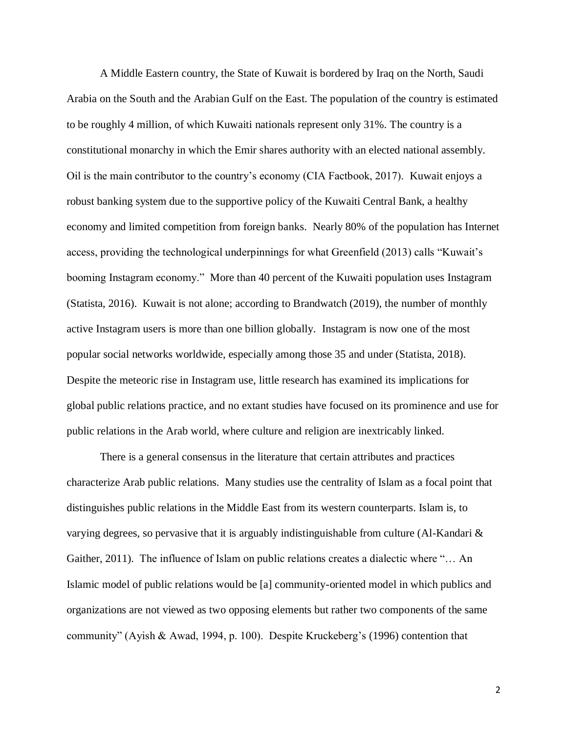A Middle Eastern country, the State of Kuwait is bordered by Iraq on the North, Saudi Arabia on the South and the Arabian Gulf on the East. The population of the country is estimated to be roughly 4 million, of which Kuwaiti nationals represent only 31%. The country is a constitutional monarchy in which the Emir shares authority with an elected national assembly. Oil is the main contributor to the country's economy (CIA Factbook, 2017). Kuwait enjoys a robust banking system due to the supportive policy of the Kuwaiti Central Bank, a healthy economy and limited competition from foreign banks. Nearly 80% of the population has Internet access, providing the technological underpinnings for what Greenfield (2013) calls "Kuwait's booming Instagram economy." More than 40 percent of the Kuwaiti population uses Instagram (Statista, 2016). Kuwait is not alone; according to Brandwatch (2019), the number of monthly active Instagram users is more than one billion globally. Instagram is now one of the most popular social networks worldwide, especially among those 35 and under (Statista, 2018). Despite the meteoric rise in Instagram use, little research has examined its implications for global public relations practice, and no extant studies have focused on its prominence and use for public relations in the Arab world, where culture and religion are inextricably linked.

There is a general consensus in the literature that certain attributes and practices characterize Arab public relations. Many studies use the centrality of Islam as a focal point that distinguishes public relations in the Middle East from its western counterparts. Islam is, to varying degrees, so pervasive that it is arguably indistinguishable from culture (Al-Kandari & Gaither, 2011). The influence of Islam on public relations creates a dialectic where "… An Islamic model of public relations would be [a] community-oriented model in which publics and organizations are not viewed as two opposing elements but rather two components of the same community" (Ayish & Awad, 1994, p. 100). Despite Kruckeberg's (1996) contention that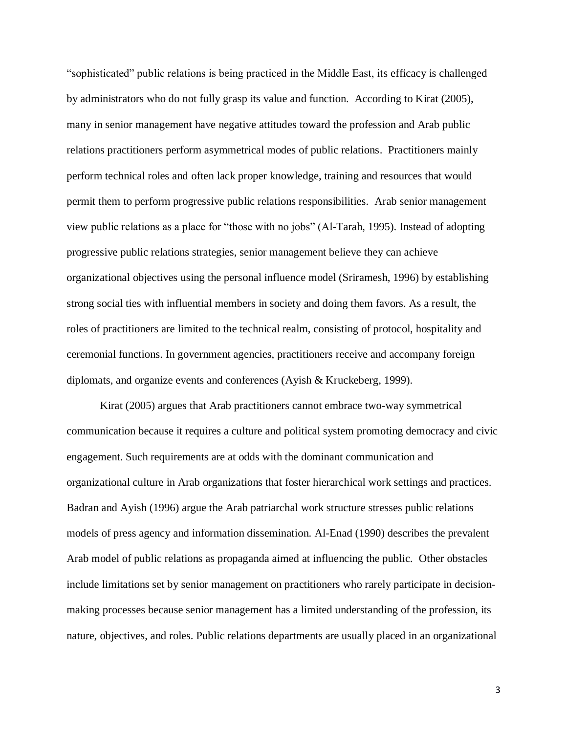"sophisticated" public relations is being practiced in the Middle East, its efficacy is challenged by administrators who do not fully grasp its value and function. According to Kirat (2005), many in senior management have negative attitudes toward the profession and Arab public relations practitioners perform asymmetrical modes of public relations. Practitioners mainly perform technical roles and often lack proper knowledge, training and resources that would permit them to perform progressive public relations responsibilities.Arab senior management view public relations as a place for "those with no jobs" (Al-Tarah, 1995). Instead of adopting progressive public relations strategies, senior management believe they can achieve organizational objectives using the personal influence model (Sriramesh, 1996) by establishing strong social ties with influential members in society and doing them favors. As a result, the roles of practitioners are limited to the technical realm, consisting of protocol, hospitality and ceremonial functions. In government agencies, practitioners receive and accompany foreign diplomats, and organize events and conferences (Ayish & Kruckeberg, 1999).

Kirat (2005) argues that Arab practitioners cannot embrace two-way symmetrical communication because it requires a culture and political system promoting democracy and civic engagement. Such requirements are at odds with the dominant communication and organizational culture in Arab organizations that foster hierarchical work settings and practices. Badran and Ayish (1996) argue the Arab patriarchal work structure stresses public relations models of press agency and information dissemination. Al-Enad (1990) describes the prevalent Arab model of public relations as propaganda aimed at influencing the public. Other obstacles include limitations set by senior management on practitioners who rarely participate in decisionmaking processes because senior management has a limited understanding of the profession, its nature, objectives, and roles. Public relations departments are usually placed in an organizational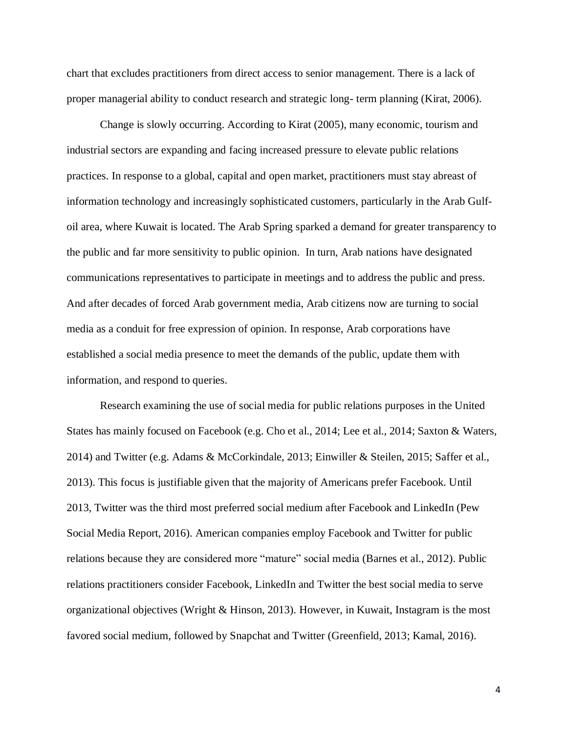chart that excludes practitioners from direct access to senior management. There is a lack of proper managerial ability to conduct research and strategic long- term planning (Kirat, 2006).

Change is slowly occurring. According to Kirat (2005), many economic, tourism and industrial sectors are expanding and facing increased pressure to elevate public relations practices. In response to a global, capital and open market, practitioners must stay abreast of information technology and increasingly sophisticated customers, particularly in the Arab Gulfoil area, where Kuwait is located. The Arab Spring sparked a demand for greater transparency to the public and far more sensitivity to public opinion. In turn, Arab nations have designated communications representatives to participate in meetings and to address the public and press. And after decades of forced Arab government media, Arab citizens now are turning to social media as a conduit for free expression of opinion. In response, Arab corporations have established a social media presence to meet the demands of the public, update them with information, and respond to queries.

Research examining the use of social media for public relations purposes in the United States has mainly focused on Facebook (e.g. Cho et al., 2014; Lee et al., 2014; Saxton & Waters, 2014) and Twitter (e.g. Adams & McCorkindale, 2013; Einwiller & Steilen, 2015; Saffer et al., 2013). This focus is justifiable given that the majority of Americans prefer Facebook. Until 2013, Twitter was the third most preferred social medium after Facebook and LinkedIn (Pew Social Media Report, 2016). American companies employ Facebook and Twitter for public relations because they are considered more "mature" social media (Barnes et al., 2012). Public relations practitioners consider Facebook, LinkedIn and Twitter the best social media to serve organizational objectives (Wright & Hinson, 2013). However, in Kuwait, Instagram is the most favored social medium, followed by Snapchat and Twitter (Greenfield, 2013; Kamal, 2016).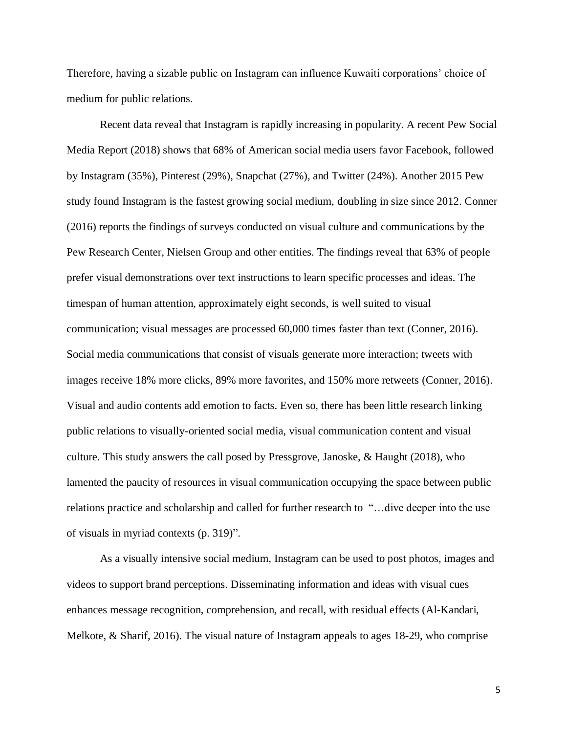Therefore, having a sizable public on Instagram can influence Kuwaiti corporations' choice of medium for public relations.

Recent data reveal that Instagram is rapidly increasing in popularity. A recent Pew Social Media Report (2018) shows that 68% of American social media users favor Facebook, followed by Instagram (35%), Pinterest (29%), Snapchat (27%), and Twitter (24%). Another 2015 Pew study found Instagram is the fastest growing social medium, doubling in size since 2012. Conner (2016) reports the findings of surveys conducted on visual culture and communications by the Pew Research Center, Nielsen Group and other entities. The findings reveal that 63% of people prefer visual demonstrations over text instructions to learn specific processes and ideas. The timespan of human attention, approximately eight seconds, is well suited to visual communication; visual messages are processed 60,000 times faster than text (Conner, 2016). Social media communications that consist of visuals generate more interaction; tweets with images receive 18% more clicks, 89% more favorites, and 150% more retweets (Conner, 2016). Visual and audio contents add emotion to facts. Even so, there has been little research linking public relations to visually-oriented social media, visual communication content and visual culture. This study answers the call posed by Pressgrove, Janoske, & Haught (2018), who lamented the paucity of resources in visual communication occupying the space between public relations practice and scholarship and called for further research to "…dive deeper into the use of visuals in myriad contexts (p. 319)".

As a visually intensive social medium, Instagram can be used to post photos, images and videos to support brand perceptions. Disseminating information and ideas with visual cues enhances message recognition, comprehension, and recall, with residual effects (Al-Kandari, Melkote, & Sharif, 2016). The visual nature of Instagram appeals to ages 18-29, who comprise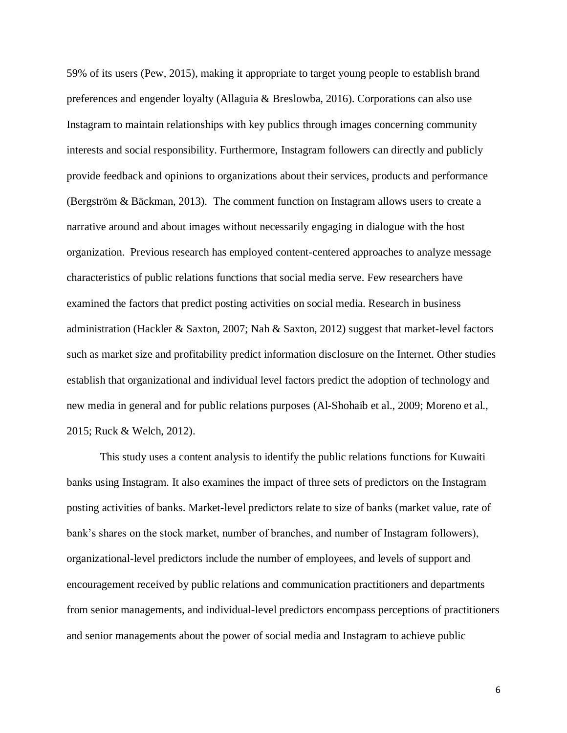59% of its users (Pew, 2015), making it appropriate to target young people to establish brand preferences and engender loyalty (Allaguia & Breslowba, 2016). Corporations can also use Instagram to maintain relationships with key publics through images concerning community interests and social responsibility. Furthermore, Instagram followers can directly and publicly provide feedback and opinions to organizations about their services, products and performance (Bergström & Bäckman, 2013). The comment function on Instagram allows users to create a narrative around and about images without necessarily engaging in dialogue with the host organization. Previous research has employed content-centered approaches to analyze message characteristics of public relations functions that social media serve. Few researchers have examined the factors that predict posting activities on social media. Research in business administration (Hackler & Saxton, 2007; Nah & Saxton, 2012) suggest that market-level factors such as market size and profitability predict information disclosure on the Internet. Other studies establish that organizational and individual level factors predict the adoption of technology and new media in general and for public relations purposes (Al-Shohaib et al., 2009; Moreno et al., 2015; Ruck & Welch, 2012).

This study uses a content analysis to identify the public relations functions for Kuwaiti banks using Instagram. It also examines the impact of three sets of predictors on the Instagram posting activities of banks. Market-level predictors relate to size of banks (market value, rate of bank's shares on the stock market, number of branches, and number of Instagram followers), organizational-level predictors include the number of employees, and levels of support and encouragement received by public relations and communication practitioners and departments from senior managements, and individual-level predictors encompass perceptions of practitioners and senior managements about the power of social media and Instagram to achieve public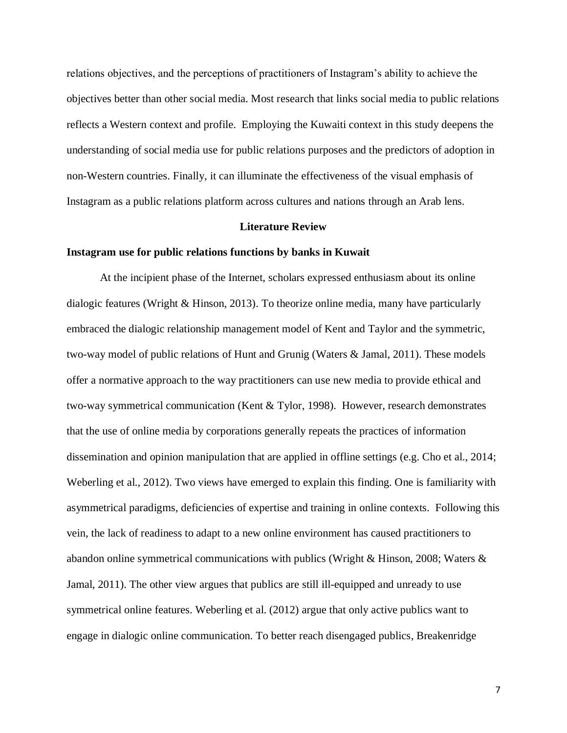relations objectives, and the perceptions of practitioners of Instagram's ability to achieve the objectives better than other social media. Most research that links social media to public relations reflects a Western context and profile. Employing the Kuwaiti context in this study deepens the understanding of social media use for public relations purposes and the predictors of adoption in non-Western countries. Finally, it can illuminate the effectiveness of the visual emphasis of Instagram as a public relations platform across cultures and nations through an Arab lens.

#### **Literature Review**

#### **Instagram use for public relations functions by banks in Kuwait**

At the incipient phase of the Internet, scholars expressed enthusiasm about its online dialogic features (Wright & Hinson, 2013). To theorize online media, many have particularly embraced the dialogic relationship management model of Kent and Taylor and the symmetric, two-way model of public relations of Hunt and Grunig (Waters & Jamal, 2011). These models offer a normative approach to the way practitioners can use new media to provide ethical and two-way symmetrical communication (Kent & Tylor, 1998). However, research demonstrates that the use of online media by corporations generally repeats the practices of information dissemination and opinion manipulation that are applied in offline settings (e.g. Cho et al., 2014; Weberling et al., 2012). Two views have emerged to explain this finding. One is familiarity with asymmetrical paradigms, deficiencies of expertise and training in online contexts. Following this vein, the lack of readiness to adapt to a new online environment has caused practitioners to abandon online symmetrical communications with publics (Wright & Hinson, 2008; Waters & Jamal, 2011). The other view argues that publics are still ill-equipped and unready to use symmetrical online features. Weberling et al. (2012) argue that only active publics want to engage in dialogic online communication. To better reach disengaged publics, Breakenridge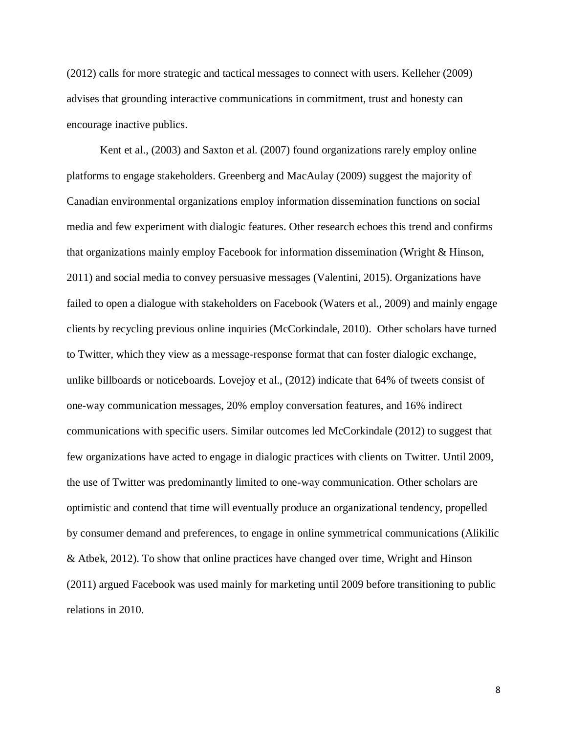(2012) calls for more strategic and tactical messages to connect with users. Kelleher (2009) advises that grounding interactive communications in commitment, trust and honesty can encourage inactive publics.

Kent et al., (2003) and Saxton et al. (2007) found organizations rarely employ online platforms to engage stakeholders. Greenberg and MacAulay (2009) suggest the majority of Canadian environmental organizations employ information dissemination functions on social media and few experiment with dialogic features. Other research echoes this trend and confirms that organizations mainly employ Facebook for information dissemination (Wright & Hinson, 2011) and social media to convey persuasive messages (Valentini, 2015). Organizations have failed to open a dialogue with stakeholders on Facebook (Waters et al., 2009) and mainly engage clients by recycling previous online inquiries (McCorkindale, 2010). Other scholars have turned to Twitter, which they view as a message-response format that can foster dialogic exchange, unlike billboards or noticeboards. Lovejoy et al., (2012) indicate that 64% of tweets consist of one-way communication messages, 20% employ conversation features, and 16% indirect communications with specific users. Similar outcomes led McCorkindale (2012) to suggest that few organizations have acted to engage in dialogic practices with clients on Twitter. Until 2009, the use of Twitter was predominantly limited to one-way communication. Other scholars are optimistic and contend that time will eventually produce an organizational tendency, propelled by consumer demand and preferences, to engage in online symmetrical communications (Alikilic & Atbek, 2012). To show that online practices have changed over time, Wright and Hinson (2011) argued Facebook was used mainly for marketing until 2009 before transitioning to public relations in 2010.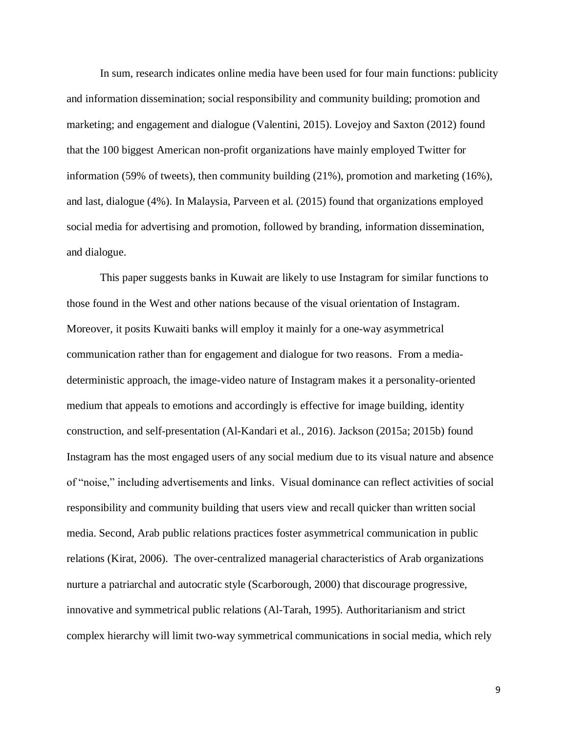In sum, research indicates online media have been used for four main functions: publicity and information dissemination; social responsibility and community building; promotion and marketing; and engagement and dialogue (Valentini, 2015). Lovejoy and Saxton (2012) found that the 100 biggest American non-profit organizations have mainly employed Twitter for information (59% of tweets), then community building (21%), promotion and marketing (16%), and last, dialogue (4%). In Malaysia, Parveen et al. (2015) found that organizations employed social media for advertising and promotion, followed by branding, information dissemination, and dialogue.

This paper suggests banks in Kuwait are likely to use Instagram for similar functions to those found in the West and other nations because of the visual orientation of Instagram. Moreover, it posits Kuwaiti banks will employ it mainly for a one-way asymmetrical communication rather than for engagement and dialogue for two reasons. From a mediadeterministic approach, the image-video nature of Instagram makes it a personality-oriented medium that appeals to emotions and accordingly is effective for image building, identity construction, and self-presentation (Al-Kandari et al., 2016). Jackson (2015a; 2015b) found Instagram has the most engaged users of any social medium due to its visual nature and absence of "noise," including advertisements and links. Visual dominance can reflect activities of social responsibility and community building that users view and recall quicker than written social media. Second, Arab public relations practices foster asymmetrical communication in public relations (Kirat, 2006). The over-centralized managerial characteristics of Arab organizations nurture a patriarchal and autocratic style (Scarborough, 2000) that discourage progressive, innovative and symmetrical public relations (Al-Tarah, 1995). Authoritarianism and strict complex hierarchy will limit two-way symmetrical communications in social media, which rely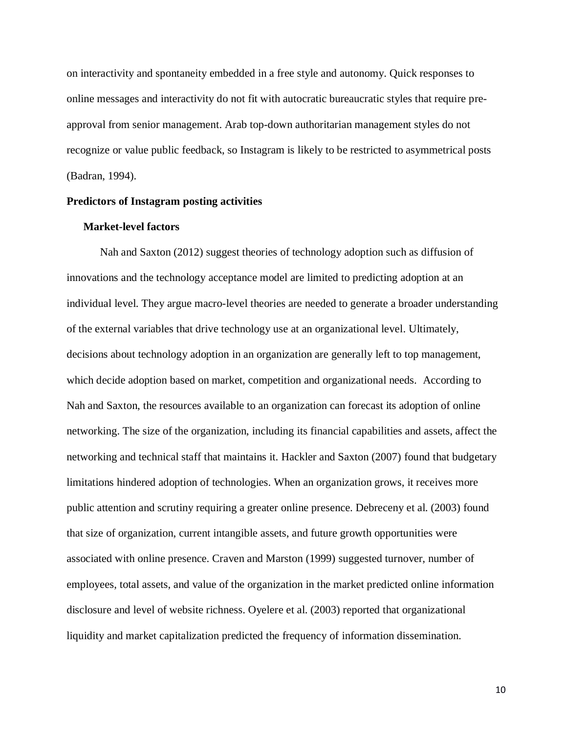on interactivity and spontaneity embedded in a free style and autonomy. Quick responses to online messages and interactivity do not fit with autocratic bureaucratic styles that require preapproval from senior management. Arab top-down authoritarian management styles do not recognize or value public feedback, so Instagram is likely to be restricted to asymmetrical posts (Badran, 1994).

#### **Predictors of Instagram posting activities**

#### **Market-level factors**

Nah and Saxton (2012) suggest theories of technology adoption such as diffusion of innovations and the technology acceptance model are limited to predicting adoption at an individual level. They argue macro-level theories are needed to generate a broader understanding of the external variables that drive technology use at an organizational level. Ultimately, decisions about technology adoption in an organization are generally left to top management, which decide adoption based on market, competition and organizational needs. According to Nah and Saxton, the resources available to an organization can forecast its adoption of online networking. The size of the organization, including its financial capabilities and assets, affect the networking and technical staff that maintains it. Hackler and Saxton (2007) found that budgetary limitations hindered adoption of technologies. When an organization grows, it receives more public attention and scrutiny requiring a greater online presence. Debreceny et al. (2003) found that size of organization, current intangible assets, and future growth opportunities were associated with online presence. Craven and Marston (1999) suggested turnover, number of employees, total assets, and value of the organization in the market predicted online information disclosure and level of website richness. Oyelere et al. (2003) reported that organizational liquidity and market capitalization predicted the frequency of information dissemination.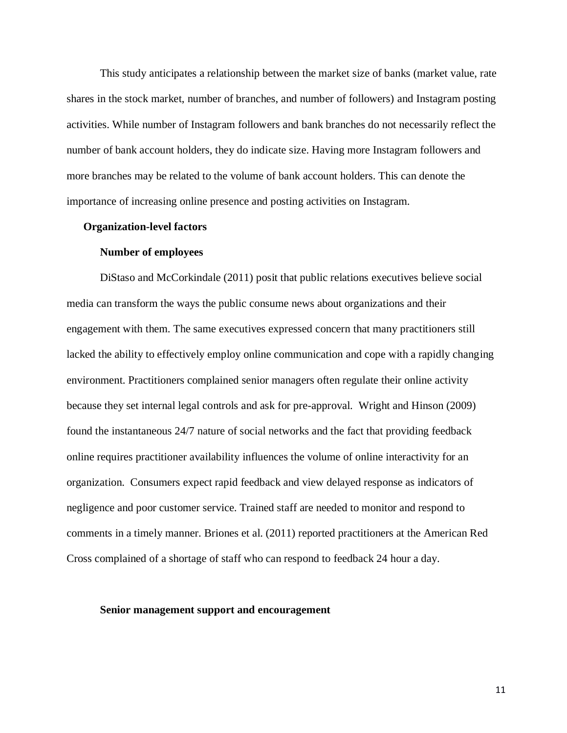This study anticipates a relationship between the market size of banks (market value, rate shares in the stock market, number of branches, and number of followers) and Instagram posting activities. While number of Instagram followers and bank branches do not necessarily reflect the number of bank account holders, they do indicate size. Having more Instagram followers and more branches may be related to the volume of bank account holders. This can denote the importance of increasing online presence and posting activities on Instagram.

#### **Organization-level factors**

#### **Number of employees**

DiStaso and McCorkindale (2011) posit that public relations executives believe social media can transform the ways the public consume news about organizations and their engagement with them. The same executives expressed concern that many practitioners still lacked the ability to effectively employ online communication and cope with a rapidly changing environment. Practitioners complained senior managers often regulate their online activity because they set internal legal controls and ask for pre-approval. Wright and Hinson (2009) found the instantaneous 24/7 nature of social networks and the fact that providing feedback online requires practitioner availability influences the volume of online interactivity for an organization. Consumers expect rapid feedback and view delayed response as indicators of negligence and poor customer service. Trained staff are needed to monitor and respond to comments in a timely manner. Briones et al. (2011) reported practitioners at the American Red Cross complained of a shortage of staff who can respond to feedback 24 hour a day.

#### **Senior management support and encouragement**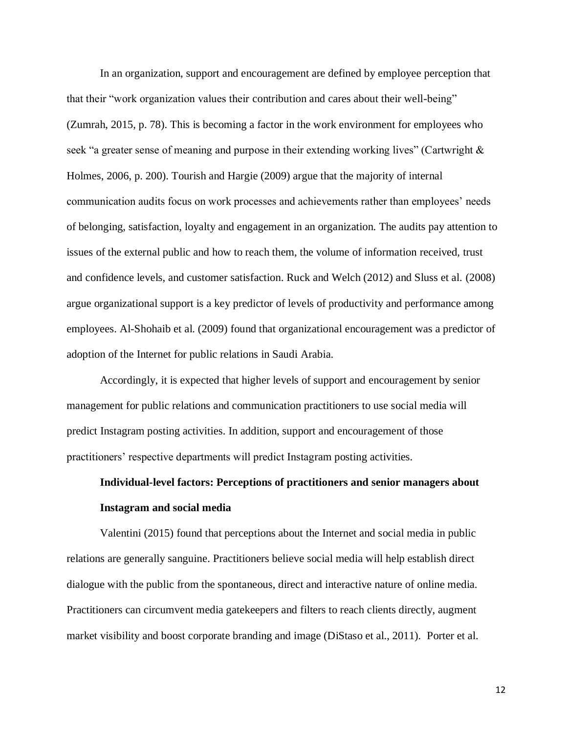In an organization, support and encouragement are defined by employee perception that that their "work organization values their contribution and cares about their well-being" (Zumrah, 2015, p. 78). This is becoming a factor in the work environment for employees who seek "a greater sense of meaning and purpose in their extending working lives" (Cartwright & Holmes, 2006, p. 200). Tourish and Hargie (2009) argue that the majority of internal communication audits focus on work processes and achievements rather than employees' needs of belonging, satisfaction, loyalty and engagement in an organization. The audits pay attention to issues of the external public and how to reach them, the volume of information received, trust and confidence levels, and customer satisfaction. Ruck and Welch (2012) and Sluss et al. (2008) argue organizational support is a key predictor of levels of productivity and performance among employees. Al-Shohaib et al. (2009) found that organizational encouragement was a predictor of adoption of the Internet for public relations in Saudi Arabia.

Accordingly, it is expected that higher levels of support and encouragement by senior management for public relations and communication practitioners to use social media will predict Instagram posting activities. In addition, support and encouragement of those practitioners' respective departments will predict Instagram posting activities.

# **Individual-level factors: Perceptions of practitioners and senior managers about Instagram and social media**

Valentini (2015) found that perceptions about the Internet and social media in public relations are generally sanguine. Practitioners believe social media will help establish direct dialogue with the public from the spontaneous, direct and interactive nature of online media. Practitioners can circumvent media gatekeepers and filters to reach clients directly, augment market visibility and boost corporate branding and image (DiStaso et al., 2011). Porter et al.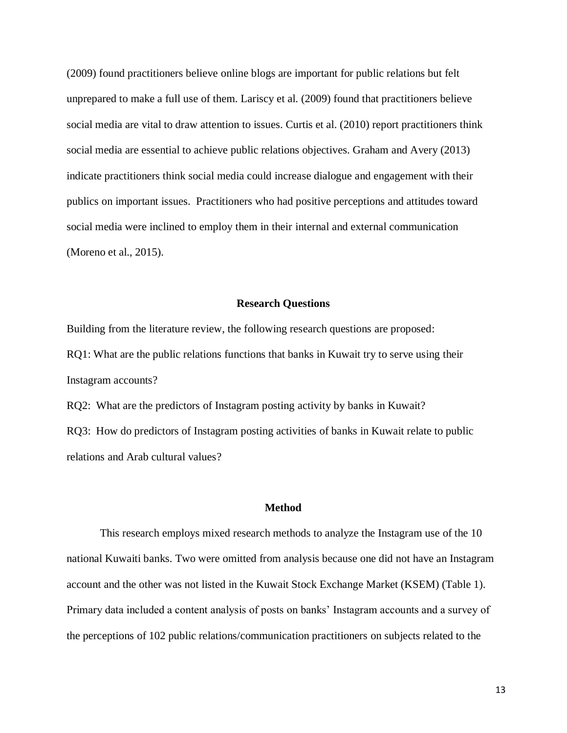(2009) found practitioners believe online blogs are important for public relations but felt unprepared to make a full use of them. Lariscy et al. (2009) found that practitioners believe social media are vital to draw attention to issues. Curtis et al. (2010) report practitioners think social media are essential to achieve public relations objectives. Graham and Avery (2013) indicate practitioners think social media could increase dialogue and engagement with their publics on important issues. Practitioners who had positive perceptions and attitudes toward social media were inclined to employ them in their internal and external communication (Moreno et al., 2015).

#### **Research Questions**

Building from the literature review, the following research questions are proposed: RQ1: What are the public relations functions that banks in Kuwait try to serve using their Instagram accounts?

RQ2: What are the predictors of Instagram posting activity by banks in Kuwait? RQ3: How do predictors of Instagram posting activities of banks in Kuwait relate to public relations and Arab cultural values?

#### **Method**

This research employs mixed research methods to analyze the Instagram use of the 10 national Kuwaiti banks. Two were omitted from analysis because one did not have an Instagram account and the other was not listed in the Kuwait Stock Exchange Market (KSEM) (Table 1). Primary data included a content analysis of posts on banks' Instagram accounts and a survey of the perceptions of 102 public relations/communication practitioners on subjects related to the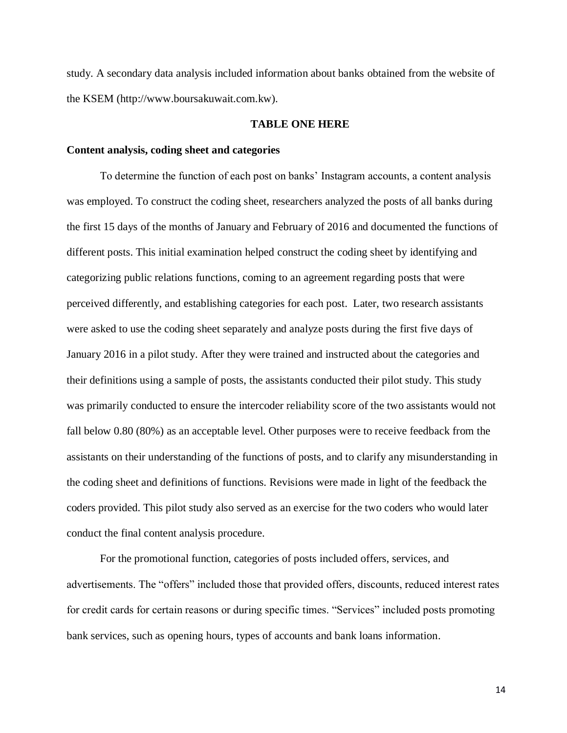study. A secondary data analysis included information about banks obtained from the website of the KSEM (http://www.boursakuwait.com.kw).

#### **TABLE ONE HERE**

#### **Content analysis, coding sheet and categories**

To determine the function of each post on banks' Instagram accounts, a content analysis was employed. To construct the coding sheet, researchers analyzed the posts of all banks during the first 15 days of the months of January and February of 2016 and documented the functions of different posts. This initial examination helped construct the coding sheet by identifying and categorizing public relations functions, coming to an agreement regarding posts that were perceived differently, and establishing categories for each post. Later, two research assistants were asked to use the coding sheet separately and analyze posts during the first five days of January 2016 in a pilot study. After they were trained and instructed about the categories and their definitions using a sample of posts, the assistants conducted their pilot study. This study was primarily conducted to ensure the intercoder reliability score of the two assistants would not fall below 0.80 (80%) as an acceptable level. Other purposes were to receive feedback from the assistants on their understanding of the functions of posts, and to clarify any misunderstanding in the coding sheet and definitions of functions. Revisions were made in light of the feedback the coders provided. This pilot study also served as an exercise for the two coders who would later conduct the final content analysis procedure.

For the promotional function, categories of posts included offers, services, and advertisements. The "offers" included those that provided offers, discounts, reduced interest rates for credit cards for certain reasons or during specific times. "Services" included posts promoting bank services, such as opening hours, types of accounts and bank loans information.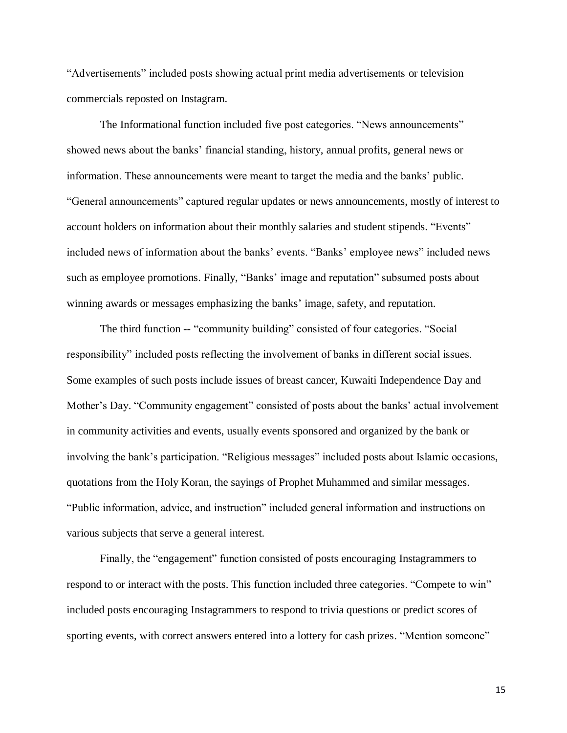"Advertisements" included posts showing actual print media advertisements or television commercials reposted on Instagram.

The Informational function included five post categories. "News announcements" showed news about the banks' financial standing, history, annual profits, general news or information. These announcements were meant to target the media and the banks' public. "General announcements" captured regular updates or news announcements, mostly of interest to account holders on information about their monthly salaries and student stipends. "Events" included news of information about the banks' events. "Banks' employee news" included news such as employee promotions. Finally, "Banks' image and reputation" subsumed posts about winning awards or messages emphasizing the banks' image, safety, and reputation.

The third function -- "community building" consisted of four categories. "Social responsibility" included posts reflecting the involvement of banks in different social issues. Some examples of such posts include issues of breast cancer, Kuwaiti Independence Day and Mother's Day. "Community engagement" consisted of posts about the banks' actual involvement in community activities and events, usually events sponsored and organized by the bank or involving the bank's participation. "Religious messages" included posts about Islamic occasions, quotations from the Holy Koran, the sayings of Prophet Muhammed and similar messages. "Public information, advice, and instruction" included general information and instructions on various subjects that serve a general interest.

Finally, the "engagement" function consisted of posts encouraging Instagrammers to respond to or interact with the posts. This function included three categories. "Compete to win" included posts encouraging Instagrammers to respond to trivia questions or predict scores of sporting events, with correct answers entered into a lottery for cash prizes. "Mention someone"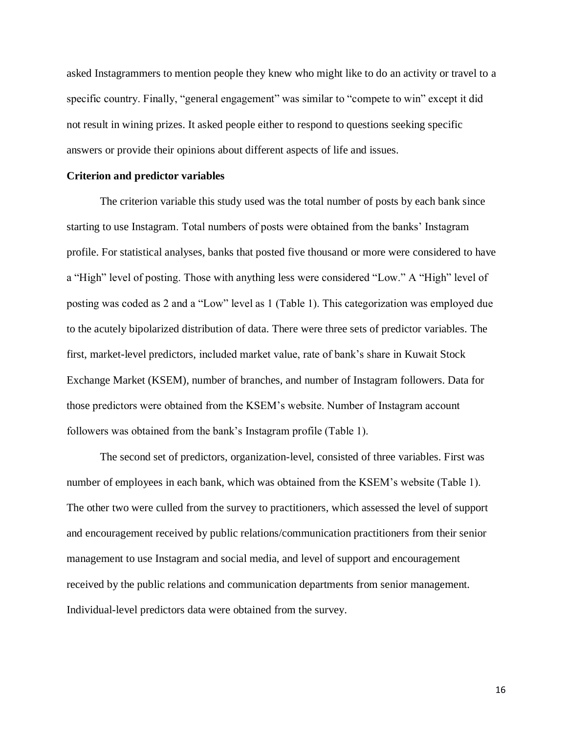asked Instagrammers to mention people they knew who might like to do an activity or travel to a specific country. Finally, "general engagement" was similar to "compete to win" except it did not result in wining prizes. It asked people either to respond to questions seeking specific answers or provide their opinions about different aspects of life and issues.

#### **Criterion and predictor variables**

The criterion variable this study used was the total number of posts by each bank since starting to use Instagram. Total numbers of posts were obtained from the banks' Instagram profile. For statistical analyses, banks that posted five thousand or more were considered to have a "High" level of posting. Those with anything less were considered "Low." A "High" level of posting was coded as 2 and a "Low" level as 1 (Table 1). This categorization was employed due to the acutely bipolarized distribution of data. There were three sets of predictor variables. The first, market-level predictors, included market value, rate of bank's share in Kuwait Stock Exchange Market (KSEM), number of branches, and number of Instagram followers. Data for those predictors were obtained from the KSEM's website. Number of Instagram account followers was obtained from the bank's Instagram profile (Table 1).

The second set of predictors, organization-level, consisted of three variables. First was number of employees in each bank, which was obtained from the KSEM's website (Table 1). The other two were culled from the survey to practitioners, which assessed the level of support and encouragement received by public relations/communication practitioners from their senior management to use Instagram and social media, and level of support and encouragement received by the public relations and communication departments from senior management. Individual-level predictors data were obtained from the survey.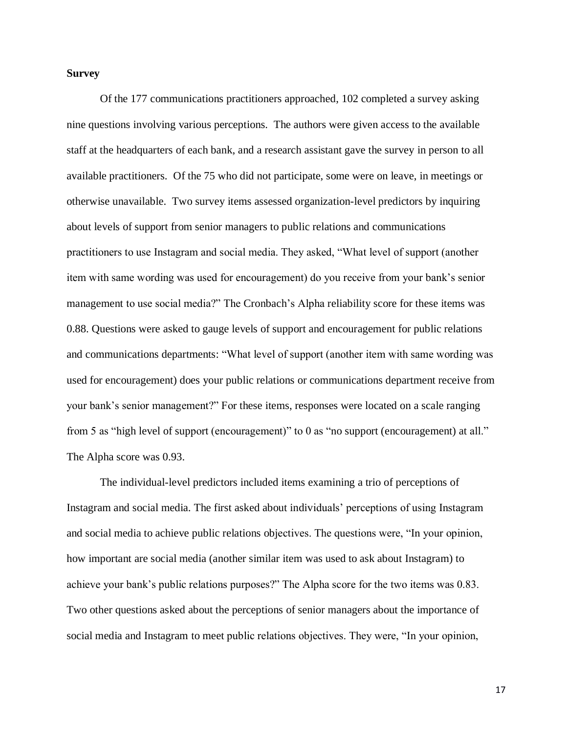#### **Survey**

Of the 177 communications practitioners approached, 102 completed a survey asking nine questions involving various perceptions. The authors were given access to the available staff at the headquarters of each bank, and a research assistant gave the survey in person to all available practitioners. Of the 75 who did not participate, some were on leave, in meetings or otherwise unavailable. Two survey items assessed organization-level predictors by inquiring about levels of support from senior managers to public relations and communications practitioners to use Instagram and social media. They asked, "What level of support (another item with same wording was used for encouragement) do you receive from your bank's senior management to use social media?" The Cronbach's Alpha reliability score for these items was 0.88. Questions were asked to gauge levels of support and encouragement for public relations and communications departments: "What level of support (another item with same wording was used for encouragement) does your public relations or communications department receive from your bank's senior management?" For these items, responses were located on a scale ranging from 5 as "high level of support (encouragement)" to 0 as "no support (encouragement) at all." The Alpha score was 0.93.

The individual-level predictors included items examining a trio of perceptions of Instagram and social media. The first asked about individuals' perceptions of using Instagram and social media to achieve public relations objectives. The questions were, "In your opinion, how important are social media (another similar item was used to ask about Instagram) to achieve your bank's public relations purposes?" The Alpha score for the two items was 0.83. Two other questions asked about the perceptions of senior managers about the importance of social media and Instagram to meet public relations objectives. They were, "In your opinion,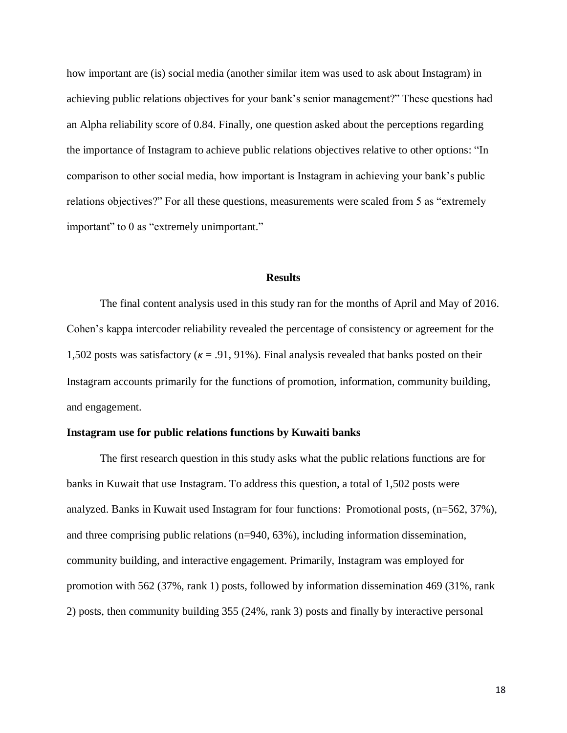how important are (is) social media (another similar item was used to ask about Instagram) in achieving public relations objectives for your bank's senior management?" These questions had an Alpha reliability score of 0.84. Finally, one question asked about the perceptions regarding the importance of Instagram to achieve public relations objectives relative to other options: "In comparison to other social media, how important is Instagram in achieving your bank's public relations objectives?" For all these questions, measurements were scaled from 5 as "extremely important" to 0 as "extremely unimportant."

#### **Results**

The final content analysis used in this study ran for the months of April and May of 2016. Cohen's kappa intercoder reliability revealed the percentage of consistency or agreement for the 1,502 posts was satisfactory (*κ* = .91, 91%). Final analysis revealed that banks posted on their Instagram accounts primarily for the functions of promotion, information, community building, and engagement.

#### **Instagram use for public relations functions by Kuwaiti banks**

The first research question in this study asks what the public relations functions are for banks in Kuwait that use Instagram. To address this question, a total of 1,502 posts were analyzed. Banks in Kuwait used Instagram for four functions: Promotional posts, (n=562, 37%), and three comprising public relations (n=940, 63%), including information dissemination, community building, and interactive engagement. Primarily, Instagram was employed for promotion with 562 (37%, rank 1) posts, followed by information dissemination 469 (31%, rank 2) posts, then community building 355 (24%, rank 3) posts and finally by interactive personal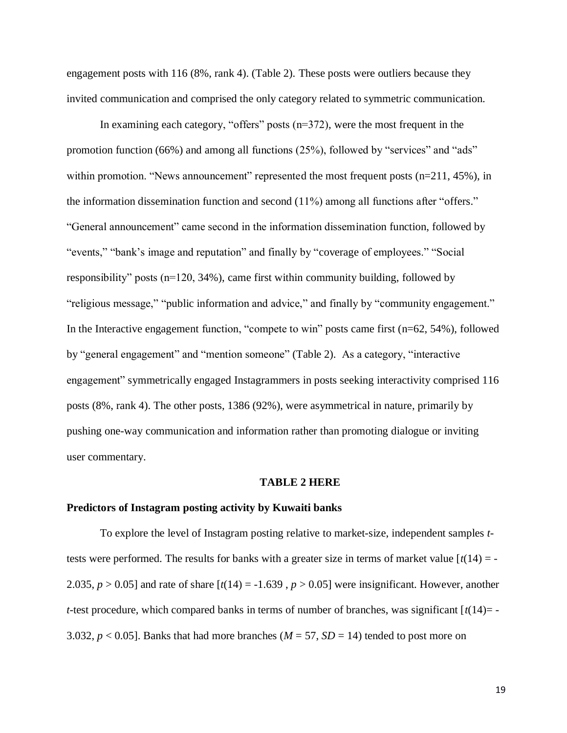engagement posts with 116 (8%, rank 4). (Table 2). These posts were outliers because they invited communication and comprised the only category related to symmetric communication.

In examining each category, "offers" posts (n=372), were the most frequent in the promotion function (66%) and among all functions (25%), followed by "services" and "ads" within promotion. "News announcement" represented the most frequent posts (n=211, 45%), in the information dissemination function and second (11%) among all functions after "offers." "General announcement" came second in the information dissemination function, followed by "events," "bank's image and reputation" and finally by "coverage of employees." "Social responsibility" posts (n=120, 34%), came first within community building, followed by "religious message," "public information and advice," and finally by "community engagement." In the Interactive engagement function, "compete to win" posts came first (n=62, 54%), followed by "general engagement" and "mention someone" (Table 2). As a category, "interactive engagement" symmetrically engaged Instagrammers in posts seeking interactivity comprised 116 posts (8%, rank 4). The other posts, 1386 (92%), were asymmetrical in nature, primarily by pushing one-way communication and information rather than promoting dialogue or inviting user commentary.

#### **TABLE 2 HERE**

#### **Predictors of Instagram posting activity by Kuwaiti banks**

To explore the level of Instagram posting relative to market-size, independent samples *t*tests were performed. The results for banks with a greater size in terms of market value  $\lceil t(14) = -1 \rceil$ 2.035,  $p > 0.05$ ] and rate of share  $[t(14) = -1.639, p > 0.05]$  were insignificant. However, another *t*-test procedure, which compared banks in terms of number of branches, was significant  $[t(14)=$ 3.032,  $p < 0.05$ ]. Banks that had more branches ( $M = 57$ ,  $SD = 14$ ) tended to post more on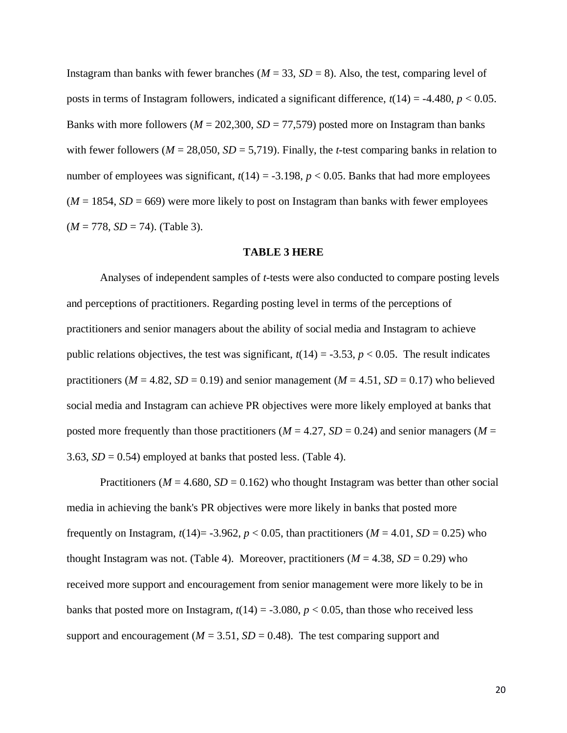Instagram than banks with fewer branches  $(M = 33, SD = 8)$ . Also, the test, comparing level of posts in terms of Instagram followers, indicated a significant difference,  $t(14) = -4.480$ ,  $p < 0.05$ . Banks with more followers ( $M = 202,300$ ,  $SD = 77,579$ ) posted more on Instagram than banks with fewer followers ( $M = 28,050$ ,  $SD = 5,719$ ). Finally, the *t*-test comparing banks in relation to number of employees was significant,  $t(14) = -3.198$ ,  $p < 0.05$ . Banks that had more employees  $(M = 1854, SD = 669)$  were more likely to post on Instagram than banks with fewer employees (*M* = 778, *SD* = 74). (Table 3).

#### **TABLE 3 HERE**

Analyses of independent samples of *t*-tests were also conducted to compare posting levels and perceptions of practitioners. Regarding posting level in terms of the perceptions of practitioners and senior managers about the ability of social media and Instagram to achieve public relations objectives, the test was significant,  $t(14) = -3.53$ ,  $p < 0.05$ . The result indicates practitioners ( $M = 4.82$ ,  $SD = 0.19$ ) and senior management ( $M = 4.51$ ,  $SD = 0.17$ ) who believed social media and Instagram can achieve PR objectives were more likely employed at banks that posted more frequently than those practitioners ( $M = 4.27$ ,  $SD = 0.24$ ) and senior managers ( $M =$ 3.63,  $SD = 0.54$ ) employed at banks that posted less. (Table 4).

Practitioners ( $M = 4.680$ ,  $SD = 0.162$ ) who thought Instagram was better than other social media in achieving the bank's PR objectives were more likely in banks that posted more frequently on Instagram,  $t(14) = -3.962$ ,  $p < 0.05$ , than practitioners ( $M = 4.01$ ,  $SD = 0.25$ ) who thought Instagram was not. (Table 4). Moreover, practitioners ( $M = 4.38$ ,  $SD = 0.29$ ) who received more support and encouragement from senior management were more likely to be in banks that posted more on Instagram,  $t(14) = -3.080$ ,  $p < 0.05$ , than those who received less support and encouragement ( $M = 3.51$ ,  $SD = 0.48$ ). The test comparing support and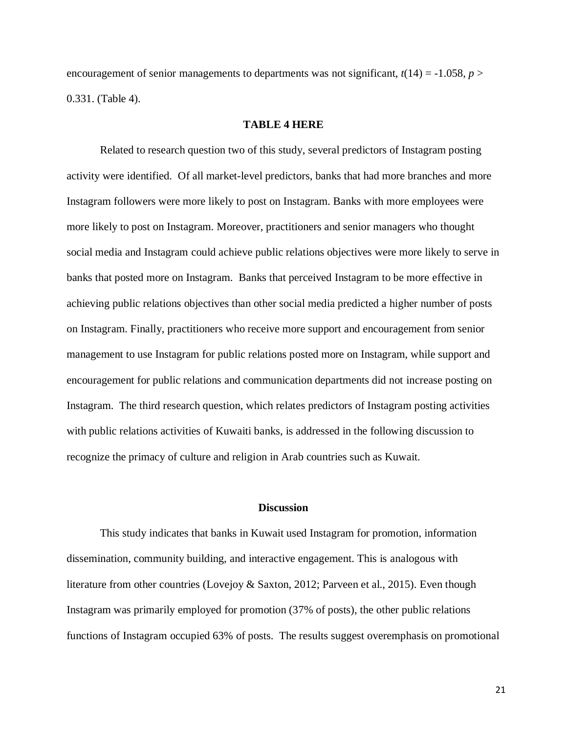encouragement of senior managements to departments was not significant,  $t(14) = -1.058$ ,  $p >$ 0.331. (Table 4).

#### **TABLE 4 HERE**

Related to research question two of this study, several predictors of Instagram posting activity were identified. Of all market-level predictors, banks that had more branches and more Instagram followers were more likely to post on Instagram. Banks with more employees were more likely to post on Instagram. Moreover, practitioners and senior managers who thought social media and Instagram could achieve public relations objectives were more likely to serve in banks that posted more on Instagram. Banks that perceived Instagram to be more effective in achieving public relations objectives than other social media predicted a higher number of posts on Instagram. Finally, practitioners who receive more support and encouragement from senior management to use Instagram for public relations posted more on Instagram, while support and encouragement for public relations and communication departments did not increase posting on Instagram. The third research question, which relates predictors of Instagram posting activities with public relations activities of Kuwaiti banks, is addressed in the following discussion to recognize the primacy of culture and religion in Arab countries such as Kuwait.

#### **Discussion**

This study indicates that banks in Kuwait used Instagram for promotion, information dissemination, community building, and interactive engagement. This is analogous with literature from other countries (Lovejoy & Saxton, 2012; Parveen et al., 2015). Even though Instagram was primarily employed for promotion (37% of posts), the other public relations functions of Instagram occupied 63% of posts. The results suggest overemphasis on promotional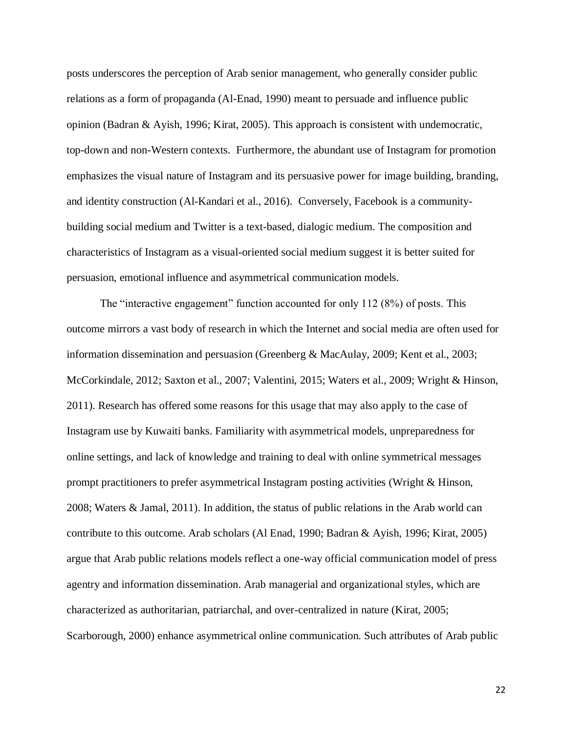posts underscores the perception of Arab senior management, who generally consider public relations as a form of propaganda (Al-Enad, 1990) meant to persuade and influence public opinion (Badran & Ayish, 1996; Kirat, 2005). This approach is consistent with undemocratic, top-down and non-Western contexts. Furthermore, the abundant use of Instagram for promotion emphasizes the visual nature of Instagram and its persuasive power for image building, branding, and identity construction (Al-Kandari et al., 2016). Conversely, Facebook is a communitybuilding social medium and Twitter is a text-based, dialogic medium. The composition and characteristics of Instagram as a visual-oriented social medium suggest it is better suited for persuasion, emotional influence and asymmetrical communication models.

The "interactive engagement" function accounted for only 112 (8%) of posts. This outcome mirrors a vast body of research in which the Internet and social media are often used for information dissemination and persuasion (Greenberg & MacAulay, 2009; Kent et al., 2003; McCorkindale, 2012; Saxton et al., 2007; Valentini, 2015; Waters et al., 2009; Wright & Hinson, 2011). Research has offered some reasons for this usage that may also apply to the case of Instagram use by Kuwaiti banks. Familiarity with asymmetrical models, unpreparedness for online settings, and lack of knowledge and training to deal with online symmetrical messages prompt practitioners to prefer asymmetrical Instagram posting activities (Wright & Hinson, 2008; Waters & Jamal, 2011). In addition, the status of public relations in the Arab world can contribute to this outcome. Arab scholars (Al Enad, 1990; Badran & Ayish, 1996; Kirat, 2005) argue that Arab public relations models reflect a one-way official communication model of press agentry and information dissemination. Arab managerial and organizational styles, which are characterized as authoritarian, patriarchal, and over-centralized in nature (Kirat, 2005; Scarborough, 2000) enhance asymmetrical online communication. Such attributes of Arab public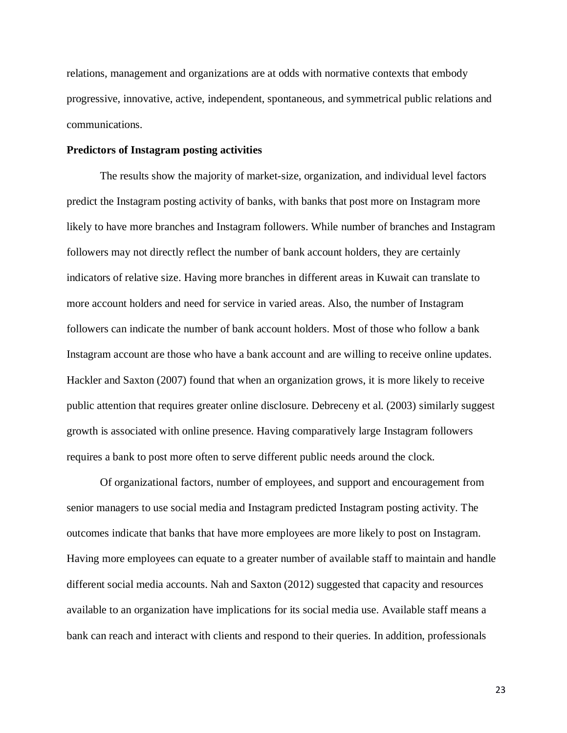relations, management and organizations are at odds with normative contexts that embody progressive, innovative, active, independent, spontaneous, and symmetrical public relations and communications.

#### **Predictors of Instagram posting activities**

The results show the majority of market-size, organization, and individual level factors predict the Instagram posting activity of banks, with banks that post more on Instagram more likely to have more branches and Instagram followers. While number of branches and Instagram followers may not directly reflect the number of bank account holders, they are certainly indicators of relative size. Having more branches in different areas in Kuwait can translate to more account holders and need for service in varied areas. Also, the number of Instagram followers can indicate the number of bank account holders. Most of those who follow a bank Instagram account are those who have a bank account and are willing to receive online updates. Hackler and Saxton (2007) found that when an organization grows, it is more likely to receive public attention that requires greater online disclosure. Debreceny et al. (2003) similarly suggest growth is associated with online presence. Having comparatively large Instagram followers requires a bank to post more often to serve different public needs around the clock.

Of organizational factors, number of employees, and support and encouragement from senior managers to use social media and Instagram predicted Instagram posting activity. The outcomes indicate that banks that have more employees are more likely to post on Instagram. Having more employees can equate to a greater number of available staff to maintain and handle different social media accounts. Nah and Saxton (2012) suggested that capacity and resources available to an organization have implications for its social media use. Available staff means a bank can reach and interact with clients and respond to their queries. In addition, professionals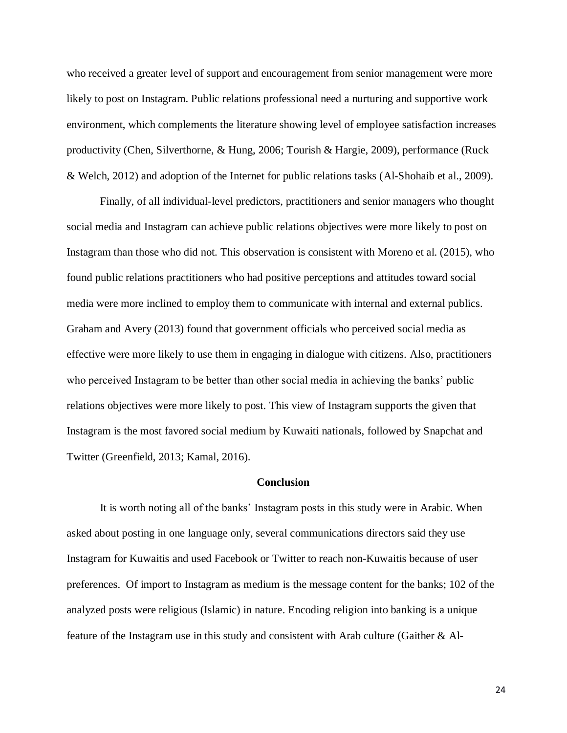who received a greater level of support and encouragement from senior management were more likely to post on Instagram. Public relations professional need a nurturing and supportive work environment, which complements the literature showing level of employee satisfaction increases productivity (Chen, Silverthorne, & Hung, 2006; Tourish & Hargie, 2009), performance (Ruck & Welch, 2012) and adoption of the Internet for public relations tasks (Al-Shohaib et al., 2009).

Finally, of all individual-level predictors, practitioners and senior managers who thought social media and Instagram can achieve public relations objectives were more likely to post on Instagram than those who did not. This observation is consistent with Moreno et al. (2015), who found public relations practitioners who had positive perceptions and attitudes toward social media were more inclined to employ them to communicate with internal and external publics. Graham and Avery (2013) found that government officials who perceived social media as effective were more likely to use them in engaging in dialogue with citizens. Also, practitioners who perceived Instagram to be better than other social media in achieving the banks' public relations objectives were more likely to post. This view of Instagram supports the given that Instagram is the most favored social medium by Kuwaiti nationals, followed by Snapchat and Twitter (Greenfield, 2013; Kamal, 2016).

#### **Conclusion**

It is worth noting all of the banks' Instagram posts in this study were in Arabic. When asked about posting in one language only, several communications directors said they use Instagram for Kuwaitis and used Facebook or Twitter to reach non-Kuwaitis because of user preferences. Of import to Instagram as medium is the message content for the banks; 102 of the analyzed posts were religious (Islamic) in nature. Encoding religion into banking is a unique feature of the Instagram use in this study and consistent with Arab culture (Gaither & Al-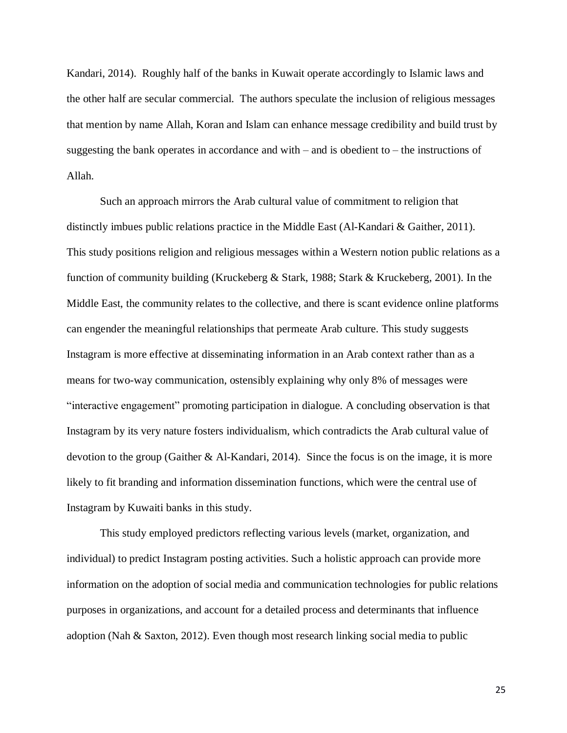Kandari, 2014). Roughly half of the banks in Kuwait operate accordingly to Islamic laws and the other half are secular commercial. The authors speculate the inclusion of religious messages that mention by name Allah, Koran and Islam can enhance message credibility and build trust by suggesting the bank operates in accordance and with – and is obedient to – the instructions of Allah.

Such an approach mirrors the Arab cultural value of commitment to religion that distinctly imbues public relations practice in the Middle East (Al-Kandari & Gaither, 2011). This study positions religion and religious messages within a Western notion public relations as a function of community building (Kruckeberg & Stark, 1988; Stark & Kruckeberg, 2001). In the Middle East, the community relates to the collective, and there is scant evidence online platforms can engender the meaningful relationships that permeate Arab culture. This study suggests Instagram is more effective at disseminating information in an Arab context rather than as a means for two-way communication, ostensibly explaining why only 8% of messages were "interactive engagement" promoting participation in dialogue. A concluding observation is that Instagram by its very nature fosters individualism, which contradicts the Arab cultural value of devotion to the group (Gaither & Al-Kandari, 2014). Since the focus is on the image, it is more likely to fit branding and information dissemination functions, which were the central use of Instagram by Kuwaiti banks in this study.

This study employed predictors reflecting various levels (market, organization, and individual) to predict Instagram posting activities. Such a holistic approach can provide more information on the adoption of social media and communication technologies for public relations purposes in organizations, and account for a detailed process and determinants that influence adoption (Nah & Saxton, 2012). Even though most research linking social media to public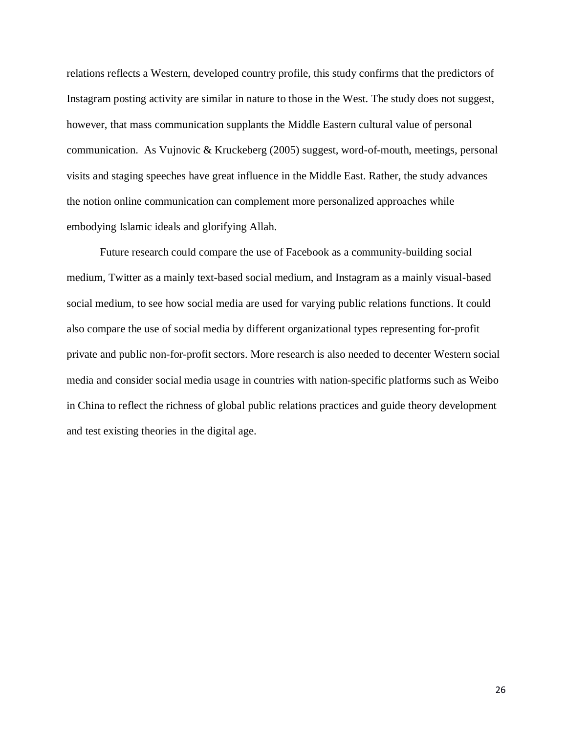relations reflects a Western, developed country profile, this study confirms that the predictors of Instagram posting activity are similar in nature to those in the West. The study does not suggest, however, that mass communication supplants the Middle Eastern cultural value of personal communication. As Vujnovic & Kruckeberg (2005) suggest, word-of-mouth, meetings, personal visits and staging speeches have great influence in the Middle East. Rather, the study advances the notion online communication can complement more personalized approaches while embodying Islamic ideals and glorifying Allah.

Future research could compare the use of Facebook as a community-building social medium, Twitter as a mainly text-based social medium, and Instagram as a mainly visual-based social medium, to see how social media are used for varying public relations functions. It could also compare the use of social media by different organizational types representing for-profit private and public non-for-profit sectors. More research is also needed to decenter Western social media and consider social media usage in countries with nation-specific platforms such as Weibo in China to reflect the richness of global public relations practices and guide theory development and test existing theories in the digital age.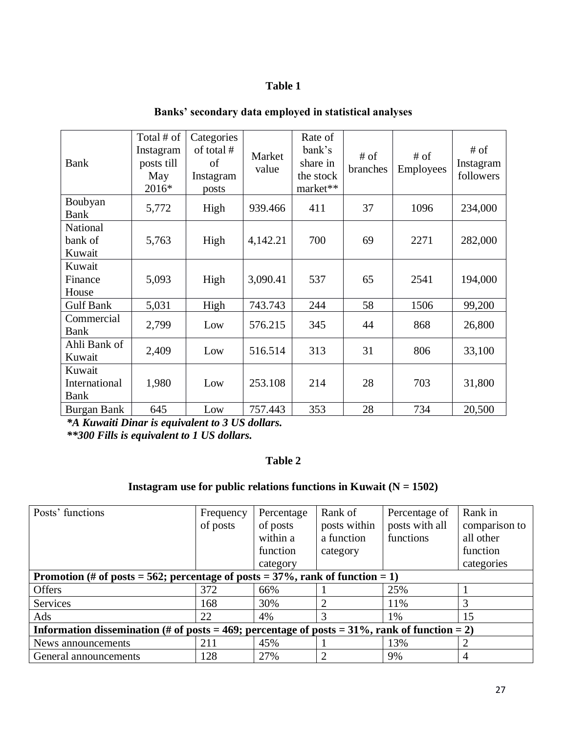# **Table 1**

| Bank                            | Total # of<br>Instagram<br>posts till<br>May<br>2016* | Categories<br>of total #<br>of<br>Instagram<br>posts | Market<br>value | Rate of<br>bank's<br>share in<br>the stock<br>market** | # of<br>branches | $#$ of<br><b>Employees</b> | # of<br>Instagram<br>followers |
|---------------------------------|-------------------------------------------------------|------------------------------------------------------|-----------------|--------------------------------------------------------|------------------|----------------------------|--------------------------------|
| Boubyan<br>Bank                 | 5,772                                                 | High                                                 | 939.466         | 411                                                    | 37               | 1096                       | 234,000                        |
| National<br>bank of<br>Kuwait   | 5,763                                                 | High                                                 | 4,142.21        | 700                                                    | 69               | 2271                       | 282,000                        |
| Kuwait<br>Finance<br>House      | 5,093                                                 | High                                                 | 3,090.41        | 537                                                    | 65               | 2541                       | 194,000                        |
| <b>Gulf Bank</b>                | 5,031                                                 | High                                                 | 743.743         | 244                                                    | 58               | 1506                       | 99,200                         |
| Commercial<br><b>Bank</b>       | 2,799                                                 | Low                                                  | 576.215         | 345                                                    | 44               | 868                        | 26,800                         |
| Ahli Bank of<br>Kuwait          | 2,409                                                 | Low                                                  | 516.514         | 313                                                    | 31               | 806                        | 33,100                         |
| Kuwait<br>International<br>Bank | 1,980                                                 | Low                                                  | 253.108         | 214                                                    | 28               | 703                        | 31,800                         |
| Burgan Bank                     | 645                                                   | Low                                                  | 757.443         | 353                                                    | 28               | 734                        | 20,500                         |

# **Banks' secondary data employed in statistical analyses**

*\*A Kuwaiti Dinar is equivalent to 3 US dollars.* 

*\*\*300 Fills is equivalent to 1 US dollars.*

# **Table 2**

# **Instagram use for public relations functions in Kuwait (N = 1502)**

| Posts' functions                                                                                  | Frequency | Percentage | Rank of      | Percentage of  | Rank in       |  |  |  |  |
|---------------------------------------------------------------------------------------------------|-----------|------------|--------------|----------------|---------------|--|--|--|--|
|                                                                                                   | of posts  | of posts   | posts within | posts with all | comparison to |  |  |  |  |
|                                                                                                   |           | within a   | a function   | functions      | all other     |  |  |  |  |
|                                                                                                   |           | function   | category     |                | function      |  |  |  |  |
|                                                                                                   |           | category   |              |                | categories    |  |  |  |  |
| Promotion (# of posts = 562; percentage of posts = $37\%$ , rank of function = 1)                 |           |            |              |                |               |  |  |  |  |
| <b>Offers</b>                                                                                     | 372       | 66%        |              | 25%            |               |  |  |  |  |
| Services                                                                                          | 168       | 30%        |              | 11%            | 3             |  |  |  |  |
| Ads                                                                                               | 22        | 4%         | 3            | 1%             | 15            |  |  |  |  |
| Information dissemination (# of posts = 469; percentage of posts = $31\%$ , rank of function = 2) |           |            |              |                |               |  |  |  |  |
| News announcements                                                                                | 211       | 45%        |              | 13%            |               |  |  |  |  |
| General announcements                                                                             | 128       | 27%        |              | 9%             | 4             |  |  |  |  |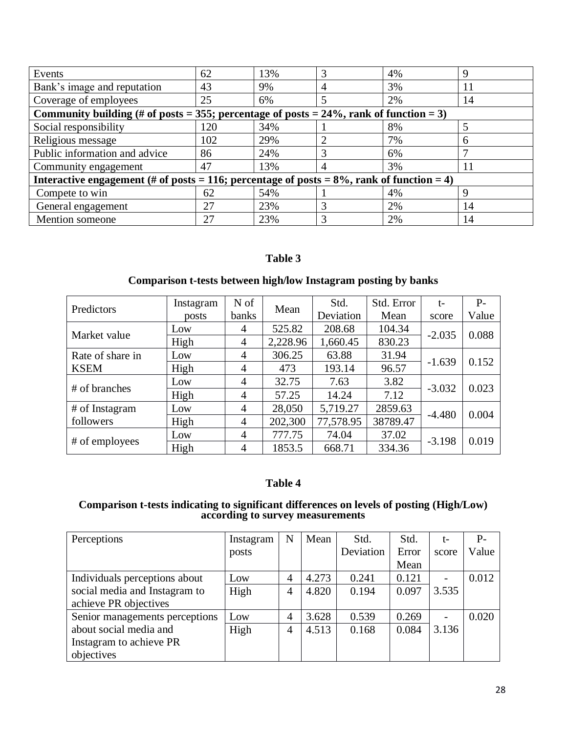| Events                                                                                        | 62  | 13% |   | 4% |    |  |  |  |
|-----------------------------------------------------------------------------------------------|-----|-----|---|----|----|--|--|--|
| Bank's image and reputation                                                                   | 43  | 9%  |   | 3% |    |  |  |  |
| Coverage of employees                                                                         | 25  | 6%  | 5 | 2% | 14 |  |  |  |
| Community building (# of posts = 355; percentage of posts = $24\%$ , rank of function = 3)    |     |     |   |    |    |  |  |  |
| Social responsibility                                                                         | 120 | 34% |   | 8% |    |  |  |  |
| Religious message                                                                             | 102 | 29% |   | 7% |    |  |  |  |
| Public information and advice                                                                 | 86  | 24% |   | 6% |    |  |  |  |
| Community engagement                                                                          | 47  | 13% |   | 3% | 11 |  |  |  |
| Interactive engagement (# of posts = 116; percentage of posts = $8\%$ , rank of function = 4) |     |     |   |    |    |  |  |  |
| Compete to win                                                                                | 62  | 54% |   | 4% |    |  |  |  |
| General engagement                                                                            | 27  | 23% |   | 2% | 14 |  |  |  |
| Mention someone                                                                               | 27  | 23% |   | 2% | 14 |  |  |  |

# **Table 3**

# **Comparison t-tests between high/low Instagram posting by banks**

|                  | Instagram | N of                                   |         | Std.      | Std. Error | $t-$     | $P-$  |
|------------------|-----------|----------------------------------------|---------|-----------|------------|----------|-------|
| Predictors       | posts     | <b>banks</b>                           | Mean    | Deviation | Mean       | score    | Value |
| Market value     | Low       | 4                                      | 525.82  | 208.68    | 104.34     | $-2.035$ | 0.088 |
|                  | High      | 2,228.96<br>1,660.45<br>$\overline{4}$ |         | 830.23    |            |          |       |
| Rate of share in | Low       | 4                                      | 306.25  | 63.88     | 31.94      | $-1.639$ | 0.152 |
| <b>KSEM</b>      | High      | $\overline{4}$                         | 473     | 193.14    | 96.57      |          |       |
| # of branches    | Low       | $\overline{4}$                         | 32.75   | 7.63      | 3.82       |          | 0.023 |
|                  | High      | $\overline{4}$                         | 57.25   | 14.24     | 7.12       | $-3.032$ |       |
| # of Instagram   | Low       | $\overline{4}$                         | 28,050  | 5,719.27  | 2859.63    | $-4.480$ | 0.004 |
| followers        | High      | 4                                      | 202,300 | 77,578.95 | 38789.47   |          |       |
|                  | Low       | $\overline{4}$                         | 777.75  | 74.04     | 37.02      | $-3.198$ | 0.019 |
| # of employees   | High      | $\overline{4}$                         | 1853.5  | 668.71    | 334.36     |          |       |

# **Table 4**

#### **Comparison t-tests indicating to significant differences on levels of posting (High/Low) according to survey measurements**

| Perceptions                    | Instagram | N              | Mean  | Std.      | Std.  | t-                       | $P-$  |
|--------------------------------|-----------|----------------|-------|-----------|-------|--------------------------|-------|
|                                | posts     |                |       | Deviation | Error | score                    | Value |
|                                |           |                |       |           | Mean  |                          |       |
| Individuals perceptions about  | Low       | $\overline{4}$ | 4.273 | 0.241     | 0.121 | $\overline{a}$           | 0.012 |
| social media and Instagram to  | High      | 4              | 4.820 | 0.194     | 0.097 | 3.535                    |       |
| achieve PR objectives          |           |                |       |           |       |                          |       |
| Senior managements perceptions | Low       | $\overline{4}$ | 3.628 | 0.539     | 0.269 | $\overline{\phantom{0}}$ | 0.020 |
| about social media and         | High      | $\overline{4}$ | 4.513 | 0.168     | 0.084 | 3.136                    |       |
| Instagram to achieve PR        |           |                |       |           |       |                          |       |
| objectives                     |           |                |       |           |       |                          |       |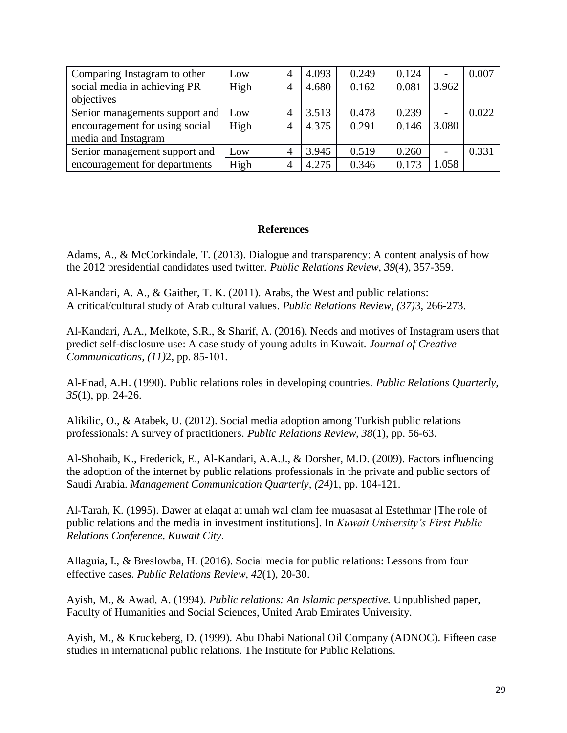| Comparing Instagram to other   | Low  | 4              | 4.093 | 0.249 | 0.124 | -                        | 0.007 |
|--------------------------------|------|----------------|-------|-------|-------|--------------------------|-------|
| social media in achieving PR   | High | 4              | 4.680 | 0.162 | 0.081 | 3.962                    |       |
| objectives                     |      |                |       |       |       |                          |       |
| Senior managements support and | Low  | $\overline{4}$ | 3.513 | 0.478 | 0.239 |                          | 0.022 |
| encouragement for using social | High | 4              | 4.375 | 0.291 | 0.146 | 3.080                    |       |
| media and Instagram            |      |                |       |       |       |                          |       |
| Senior management support and  | Low  | $\overline{4}$ | 3.945 | 0.519 | 0.260 | $\overline{\phantom{0}}$ | 0.331 |
| encouragement for departments  | High | 4              | 4.275 | 0.346 | 0.173 | 1.058                    |       |

### **References**

Adams, A., & McCorkindale, T. (2013). Dialogue and transparency: A content analysis of how the 2012 presidential candidates used twitter. *Public Relations Review*, *39*(4), 357-359.

Al-Kandari, A. A., & Gaither, T. K. (2011). Arabs, the West and public relations: A critical/cultural study of Arab cultural values. *Public Relations Review, (37)*3, 266-273.

Al-Kandari, A.A., Melkote, S.R., & Sharif, A. (2016). Needs and motives of Instagram users that predict self-disclosure use: A case study of young adults in Kuwait. *Journal of Creative Communications, (11)*2, pp. 85-101.

Al-Enad, A.H. (1990). Public relations roles in developing countries. *Public Relations Quarterly, 35*(1), pp. 24-26.

Alikilic, O., & Atabek, U. (2012). Social media adoption among Turkish public relations professionals: A survey of practitioners. *Public Relations Review, 38*(1), pp. 56-63.

Al-Shohaib, K., Frederick, E., Al-Kandari, A.A.J., & Dorsher, M.D. (2009). Factors influencing the adoption of the internet by public relations professionals in the private and public sectors of Saudi Arabia. *Management Communication Quarterly, (24)*1, pp. 104-121.

Al-Tarah, K. (1995). Dawer at elaqat at umah wal clam fee muasasat al Estethmar [The role of public relations and the media in investment institutions]. In *Kuwait University's First Public Relations Conference, Kuwait City*.

Allaguia, I., & Breslowba, H. (2016). Social media for public relations: Lessons from four effective cases. *Public Relations Review, 42*(1), 20-30.

Ayish, M., & Awad, A. (1994). *Public relations: An Islamic perspective.* Unpublished paper, Faculty of Humanities and Social Sciences, United Arab Emirates University.

Ayish, M., & Kruckeberg, D. (1999). Abu Dhabi National Oil Company (ADNOC). Fifteen case studies in international public relations. The Institute for Public Relations.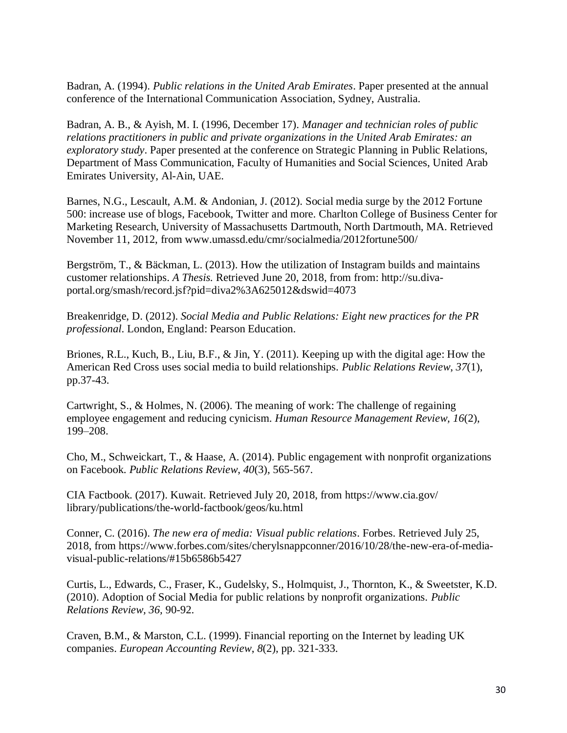Badran, A. (1994). *Public relations in the United Arab Emirates*. Paper presented at the annual conference of the International Communication Association, Sydney, Australia.

Badran, A. B., & Ayish, M. I. (1996, December 17). *Manager and technician roles of public relations practitioners in public and private organizations in the United Arab Emirates: an exploratory study*. Paper presented at the conference on Strategic Planning in Public Relations, Department of Mass Communication, Faculty of Humanities and Social Sciences, United Arab Emirates University, Al-Ain, UAE.

Barnes, N.G., Lescault, A.M. & Andonian, J. (2012). Social media surge by the 2012 Fortune 500: increase use of blogs, Facebook, Twitter and more. Charlton College of Business Center for Marketing Research, University of Massachusetts Dartmouth, North Dartmouth, MA. Retrieved November 11, 2012, from www.umassd.edu/cmr/socialmedia/2012fortune500/

Bergström, T., & Bäckman, L. (2013). How the utilization of Instagram builds and maintains customer relationships. *A Thesis.* Retrieved June 20, 2018, from from: http://su.divaportal.org/smash/record.jsf?pid=diva2%3A625012&dswid=4073

Breakenridge, D. (2012). *Social Media and Public Relations: Eight new practices for the PR professional*. London, England: Pearson Education.

Briones, R.L., Kuch, B., Liu, B.F., & Jin, Y. (2011). Keeping up with the digital age: How the American Red Cross uses social media to build relationships. *Public Relations Review*, *37*(1), pp.37-43.

Cartwright, S., & Holmes, N. (2006). The meaning of work: The challenge of regaining employee engagement and reducing cynicism. *Human Resource Management Review, 16*(2), 199–208.

Cho, M., Schweickart, T., & Haase, A. (2014). Public engagement with nonprofit organizations on Facebook. *Public Relations Review*, *40*(3), 565-567.

CIA Factbook. (2017). Kuwait. Retrieved July 20, 2018, from https://www.cia.gov/ library/publications/the-world-factbook/geos/ku.html

Conner, C. (2016). *The new era of media: Visual public relations*. Forbes. Retrieved July 25, 2018, from https://www.forbes.com/sites/cherylsnappconner/2016/10/28/the-new-era-of-mediavisual-public-relations/#15b6586b5427

Curtis, L., Edwards, C., Fraser, K., Gudelsky, S., Holmquist, J., Thornton, K., & Sweetster, K.D. (2010). Adoption of Social Media for public relations by nonprofit organizations. *Public Relations Review, 36,* 90-92.

Craven, B.M., & Marston, C.L. (1999). Financial reporting on the Internet by leading UK companies. *European Accounting Review*, *8*(2), pp. 321-333.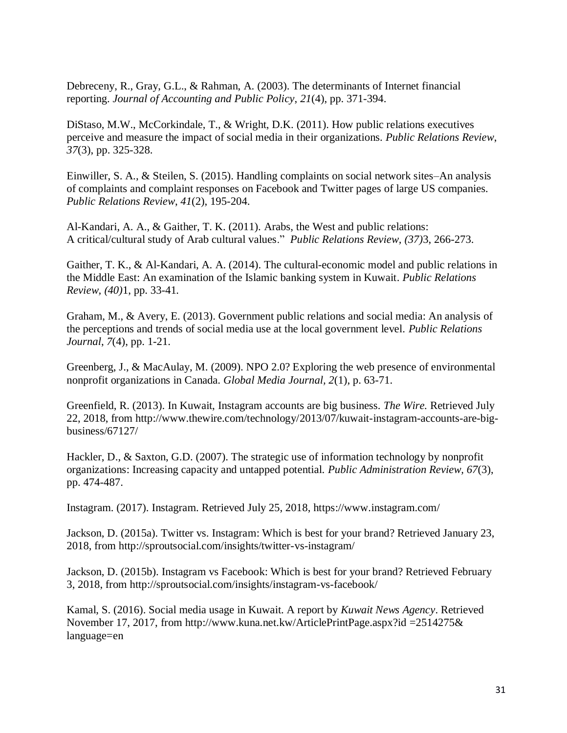Debreceny, R., Gray, G.L., & Rahman, A. (2003). The determinants of Internet financial reporting. *Journal of Accounting and Public Policy*, *21*(4), pp. 371-394.

DiStaso, M.W., McCorkindale, T., & Wright, D.K. (2011). How public relations executives perceive and measure the impact of social media in their organizations. *Public Relations Review*, *37*(3), pp. 325-328.

Einwiller, S. A., & Steilen, S. (2015). Handling complaints on social network sites–An analysis of complaints and complaint responses on Facebook and Twitter pages of large US companies. *Public Relations Review*, *41*(2), 195-204.

Al-Kandari, A. A., & Gaither, T. K. (2011). Arabs, the West and public relations: A critical/cultural study of Arab cultural values." *Public Relations Review, (37)*3, 266-273.

Gaither, T. K., & Al-Kandari, A. A. (2014). The cultural-economic model and public relations in the Middle East: An examination of the Islamic banking system in Kuwait. *Public Relations Review, (40)*1, pp. 33-41*.* 

Graham, M., & Avery, E. (2013). Government public relations and social media: An analysis of the perceptions and trends of social media use at the local government level. *Public Relations Journal*, *7*(4), pp. 1-21.

Greenberg, J., & MacAulay, M. (2009). NPO 2.0? Exploring the web presence of environmental nonprofit organizations in Canada. *Global Media Journal, 2*(1), p. 63-71.

Greenfield, R. (2013). In Kuwait, Instagram accounts are big business. *The Wire.* Retrieved July 22, 2018, from http://www.thewire.com/technology/2013/07/kuwait-instagram-accounts-are-bigbusiness/67127/

Hackler, D., & Saxton, G.D. (2007). The strategic use of information technology by nonprofit organizations: Increasing capacity and untapped potential. *Public Administration Review, 67*(3), pp. 474-487.

Instagram. (2017). Instagram. Retrieved July 25, 2018, https://www.instagram.com/

Jackson, D. (2015a). Twitter vs. Instagram: Which is best for your brand? Retrieved January 23, 2018, from<http://sproutsocial.com/insights/twitter-vs-instagram/>

Jackson, D. (2015b). Instagram vs Facebook: Which is best for your brand? Retrieved February 3, 2018, from <http://sproutsocial.com/insights/instagram-vs-facebook/>

Kamal, S. (2016). Social media usage in Kuwait. A report by *Kuwait News Agency*. Retrieved November 17, 2017, from http://www.kuna.net.kw/ArticlePrintPage.aspx?id =2514275& language=en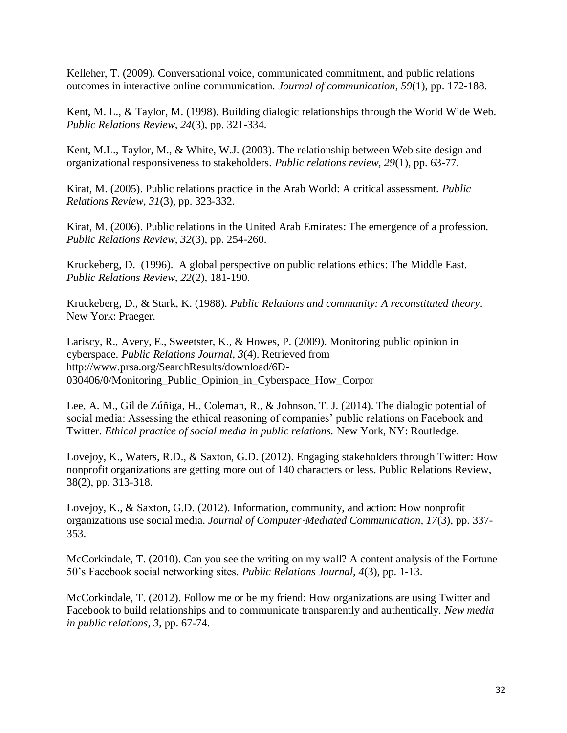Kelleher, T. (2009). Conversational voice, communicated commitment, and public relations outcomes in interactive online communication. *Journal of communication, 59*(1), pp. 172-188.

Kent, M. L., & Taylor, M. (1998). Building dialogic relationships through the World Wide Web. *Public Relations Review, 24*(3), pp. 321-334.

Kent, M.L., Taylor, M., & White, W.J. (2003). The relationship between Web site design and organizational responsiveness to stakeholders. *Public relations review, 29*(1), pp. 63-77.

Kirat, M. (2005). Public relations practice in the Arab World: A critical assessment. *Public Relations Review, 31*(3), pp. 323-332.

Kirat, M. (2006). Public relations in the United Arab Emirates: The emergence of a profession. *Public Relations Review, 32*(3), pp. 254-260.

Kruckeberg, D. (1996). A global perspective on public relations ethics: The Middle East. *Public Relations Review, 22*(2), 181-190.

Kruckeberg, D., & Stark, K. (1988). *Public Relations and community: A reconstituted theory*. New York: Praeger.

Lariscy, R., Avery, E., Sweetster, K., & Howes, P. (2009). Monitoring public opinion in cyberspace. *Public Relations Journal, 3*(4). Retrieved from http://www.prsa.org/SearchResults/download/6D-030406/0/Monitoring\_Public\_Opinion\_in\_Cyberspace\_How\_Corpor

Lee, A. M., Gil de Zúñiga, H., Coleman, R., & Johnson, T. J. (2014). The dialogic potential of social media: Assessing the ethical reasoning of companies' public relations on Facebook and Twitter. *Ethical practice of social media in public relations.* New York, NY: Routledge.

Lovejoy, K., Waters, R.D., & Saxton, G.D. (2012). Engaging stakeholders through Twitter: How nonprofit organizations are getting more out of 140 characters or less. Public Relations Review, 38(2), pp. 313-318.

Lovejoy, K., & Saxton, G.D. (2012). Information, community, and action: How nonprofit organizations use social media. *Journal of Computer*‐*Mediated Communication, 17*(3), pp. 337- 353.

McCorkindale, T. (2010). Can you see the writing on my wall? A content analysis of the Fortune 50's Facebook social networking sites. *Public Relations Journal, 4*(3), pp. 1-13.

McCorkindale, T. (2012). Follow me or be my friend: How organizations are using Twitter and Facebook to build relationships and to communicate transparently and authentically. *New media in public relations, 3*, pp. 67-74.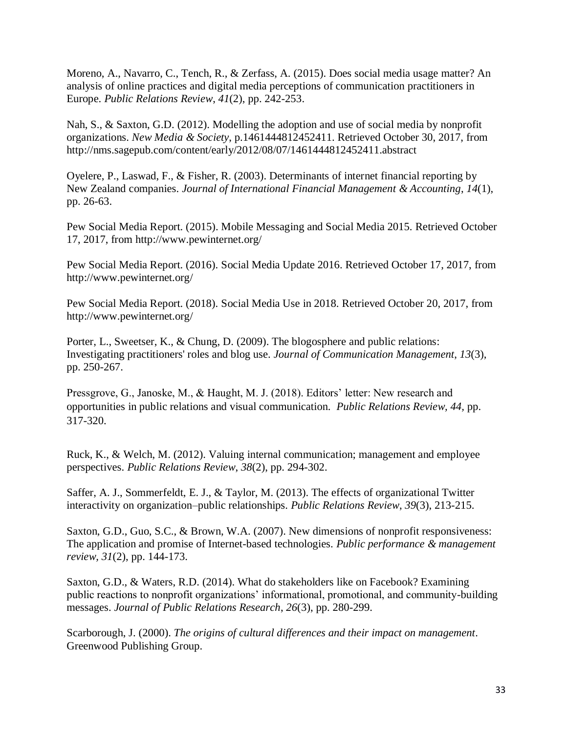Moreno, A., Navarro, C., Tench, R., & Zerfass, A. (2015). Does social media usage matter? An analysis of online practices and digital media perceptions of communication practitioners in Europe. *Public Relations Review*, *41*(2), pp. 242-253.

Nah, S., & Saxton, G.D. (2012). Modelling the adoption and use of social media by nonprofit organizations. *New Media & Society*, p.1461444812452411. Retrieved October 30, 2017, from http://nms.sagepub.com/content/early/2012/08/07/1461444812452411.abstract

Oyelere, P., Laswad, F., & Fisher, R. (2003). Determinants of internet financial reporting by New Zealand companies. *Journal of International Financial Management & Accounting*, *14*(1), pp. 26-63.

Pew Social Media Report. (2015). Mobile Messaging and Social Media 2015. Retrieved October 17, 2017, from<http://www.pewinternet.org/>

Pew Social Media Report. (2016). Social Media Update 2016. Retrieved October 17, 2017, from <http://www.pewinternet.org/>

Pew Social Media Report. (2018). Social Media Use in 2018. Retrieved October 20, 2017, from <http://www.pewinternet.org/>

Porter, L., Sweetser, K., & Chung, D. (2009). The blogosphere and public relations: Investigating practitioners' roles and blog use. *Journal of Communication Management*, *13*(3), pp. 250-267.

Pressgrove, G., Janoske, M., & Haught, M. J. (2018). Editors' letter: New research and opportunities in public relations and visual communication. *Public Relations Review, 44,* pp. 317-320.

Ruck, K., & Welch, M. (2012). Valuing internal communication; management and employee perspectives. *Public Relations Review*, *38*(2), pp. 294-302.

Saffer, A. J., Sommerfeldt, E. J., & Taylor, M. (2013). The effects of organizational Twitter interactivity on organization–public relationships. *Public Relations Review*, *39*(3), 213-215.

Saxton, G.D., Guo, S.C., & Brown, W.A. (2007). New dimensions of nonprofit responsiveness: The application and promise of Internet-based technologies. *Public performance & management review, 31*(2), pp. 144-173.

Saxton, G.D., & Waters, R.D. (2014). What do stakeholders like on Facebook? Examining public reactions to nonprofit organizations' informational, promotional, and community-building messages. *Journal of Public Relations Research*, *26*(3), pp. 280-299.

Scarborough, J. (2000). *The origins of cultural differences and their impact on management*. Greenwood Publishing Group.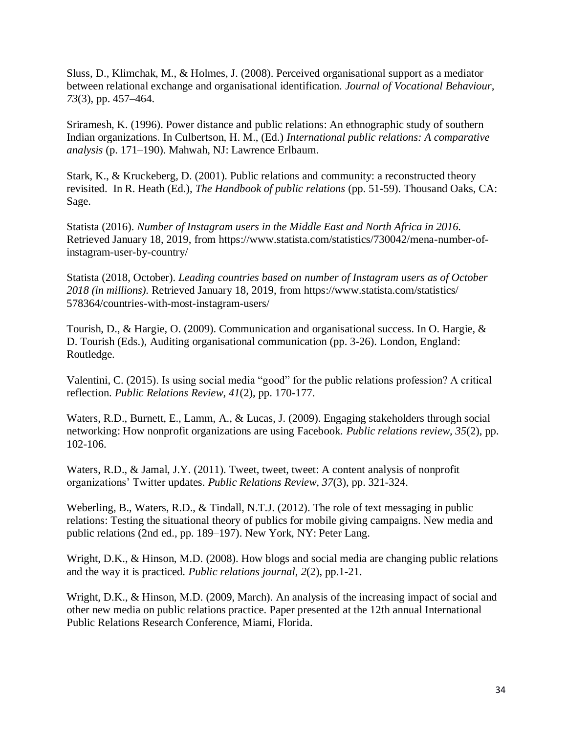Sluss, D., Klimchak, M., & Holmes, J. (2008). Perceived organisational support as a mediator between relational exchange and organisational identification. *Journal of Vocational Behaviour, 73*(3), pp. 457–464.

Sriramesh, K. (1996). Power distance and public relations: An ethnographic study of southern Indian organizations. In Culbertson, H. M., (Ed.) *International public relations: A comparative analysis* (p. 171–190). Mahwah, NJ: Lawrence Erlbaum.

Stark, K., & Kruckeberg, D. (2001). Public relations and community: a reconstructed theory revisited. In R. Heath (Ed.), *The Handbook of public relations* (pp. 51-59). Thousand Oaks, CA: Sage.

Statista (2016). *Number of Instagram users in the Middle East and North Africa in 2016.*  Retrieved January 18, 2019, from https://www.statista.com/statistics/730042/mena-number-ofinstagram-user-by-country/

Statista (2018, October). *Leading countries based on number of Instagram users as of October 2018 (in millions).* Retrieved January 18, 2019, from https://www.statista.com/statistics/ 578364/countries-with-most-instagram-users/

Tourish, D., & Hargie, O. (2009). Communication and organisational success. In O. Hargie, & D. Tourish (Eds.), Auditing organisational communication (pp. 3-26). London, England: Routledge.

Valentini, C. (2015). Is using social media "good" for the public relations profession? A critical reflection. *Public Relations Review*, *41*(2), pp. 170-177.

Waters, R.D., Burnett, E., Lamm, A., & Lucas, J. (2009). Engaging stakeholders through social networking: How nonprofit organizations are using Facebook. *Public relations review, 35*(2), pp. 102-106.

Waters, R.D., & Jamal, J.Y. (2011). Tweet, tweet, tweet: A content analysis of nonprofit organizations' Twitter updates. *Public Relations Review, 37*(3), pp. 321-324.

Weberling, B., Waters, R.D., & Tindall, N.T.J. (2012). The role of text messaging in public relations: Testing the situational theory of publics for mobile giving campaigns. New media and public relations (2nd ed., pp. 189–197). New York, NY: Peter Lang.

Wright, D.K., & Hinson, M.D. (2008). How blogs and social media are changing public relations and the way it is practiced. *Public relations journal*, *2*(2), pp.1-21.

Wright, D.K., & Hinson, M.D. (2009, March). An analysis of the increasing impact of social and other new media on public relations practice. Paper presented at the 12th annual International Public Relations Research Conference, Miami, Florida.